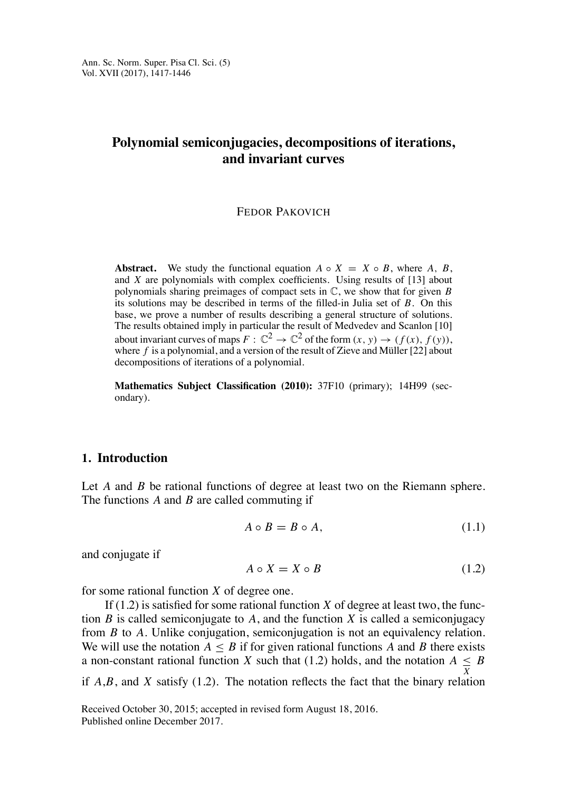# **Polynomial semiconjugacies, decompositions of iterations, and invariant curves**

### FEDOR PAKOVICH

**Abstract.** We study the functional equation  $A \circ X = X \circ B$ , where  $A, B$ , and *X* are polynomials with complex coefficients. Using results of [13] about polynomials sharing preimages of compact sets in C, we show that for given *B* its solutions may be described in terms of the filled-in Julia set of *B*. On this base, we prove a number of results describing a general structure of solutions. The results obtained imply in particular the result of Medvedev and Scanlon [10] about invariant curves of maps  $F: \mathbb{C}^2 \to \mathbb{C}^2$  of the form  $(x, y) \to (f(x), f(y)),$ where  $f$  is a polynomial, and a version of the result of Zieve and Müller  $[22]$  about decompositions of iterations of a polynomial.

**Mathematics Subject Classification (2010):** 37F10 (primary); 14H99 (secondary).

# **1. Introduction**

Let *A* and *B* be rational functions of degree at least two on the Riemann sphere. The functions *A* and *B* are called commuting if

$$
A \circ B = B \circ A,\tag{1.1}
$$

and conjugate if

$$
A \circ X = X \circ B \tag{1.2}
$$

for some rational function *X* of degree one.

If  $(1.2)$  is satisfied for some rational function *X* of degree at least two, the function  $B$  is called semiconjugate to  $A$ , and the function  $X$  is called a semiconjugacy from *B* to *A.* Unlike conjugation, semiconjugation is not an equivalency relation. We will use the notation  $A \leq B$  if for given rational functions A and B there exists a non-constant rational function *X* such that (1.2) holds, and the notation  $A \leq B$ if  $A,B$ , and  $X$  satisfy  $(1.2)$ . The notation reflects the fact that the binary relation

Received October 30, 2015; accepted in revised form August 18, 2016. Published online December 2017.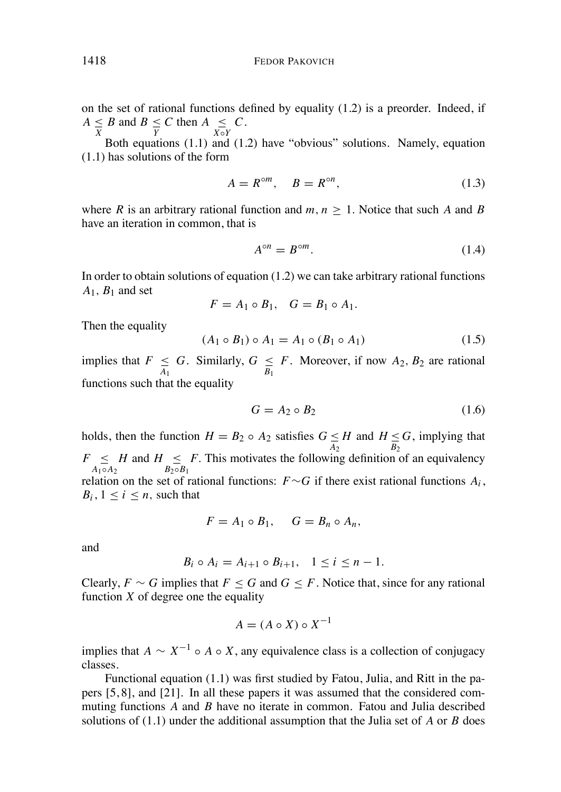on the set of rational functions defined by equality  $(1.2)$  is a preorder. Indeed, if  $A \leq B$  and  $B \leq C$  then  $A \leq X \circ Y$ <br> **Data constitute** (1.1) and *C*.

Both equations  $(1.1)$  and  $(1.2)$  have "obvious" solutions. Namely, equation (1.1) has solutions of the form

$$
A = R^{\circ m}, \quad B = R^{\circ n}, \tag{1.3}
$$

where *R* is an arbitrary rational function and  $m, n \geq 1$ . Notice that such *A* and *B* have an iteration in common, that is

$$
A^{\circ n} = B^{\circ m}.\tag{1.4}
$$

In order to obtain solutions of equation (1.2) we can take arbitrary rational functions  $A_1$ ,  $B_1$  and set

$$
F = A_1 \circ B_1, \quad G = B_1 \circ A_1.
$$

Then the equality

$$
(A_1 \circ B_1) \circ A_1 = A_1 \circ (B_1 \circ A_1) \tag{1.5}
$$

implies that  $F \leq G$ . Similarly,  $G \leq F$ . Moreover, if now  $A_2$ ,  $B_2$  are rational functions such that the equality

$$
G = A_2 \circ B_2 \tag{1.6}
$$

holds, then the function  $H = B_2 \circ A_2$  satisfies  $G \le H$  and  $H \le H \le H$ *G*, implying that  $F \leq H$  and  $H \leq B_2 \circ B_1$  $A_1 \circ A_2$ *F.* This motivates the following definition of an equivalency relation on the set of rational functions:  $F \sim G$  if there exist rational functions  $A_i$ ,  $B_i$ ,  $1 \le i \le n$ , such that

$$
F = A_1 \circ B_1, \quad G = B_n \circ A_n,
$$

and

$$
B_i \circ A_i = A_{i+1} \circ B_{i+1}, \quad 1 \leq i \leq n-1.
$$

Clearly,  $F \sim G$  implies that  $F \leq G$  and  $G \leq F$ . Notice that, since for any rational function  $X$  of degree one the equality

$$
A = (A \circ X) \circ X^{-1}
$$

implies that  $A \sim X^{-1} \circ A \circ X$ , any equivalence class is a collection of conjugacy classes.

Functional equation (1.1) was first studied by Fatou, Julia, and Ritt in the papers [5, 8], and [21]. In all these papers it was assumed that the considered commuting functions *A* and *B* have no iterate in common. Fatou and Julia described solutions of (1.1) under the additional assumption that the Julia set of *A* or *B* does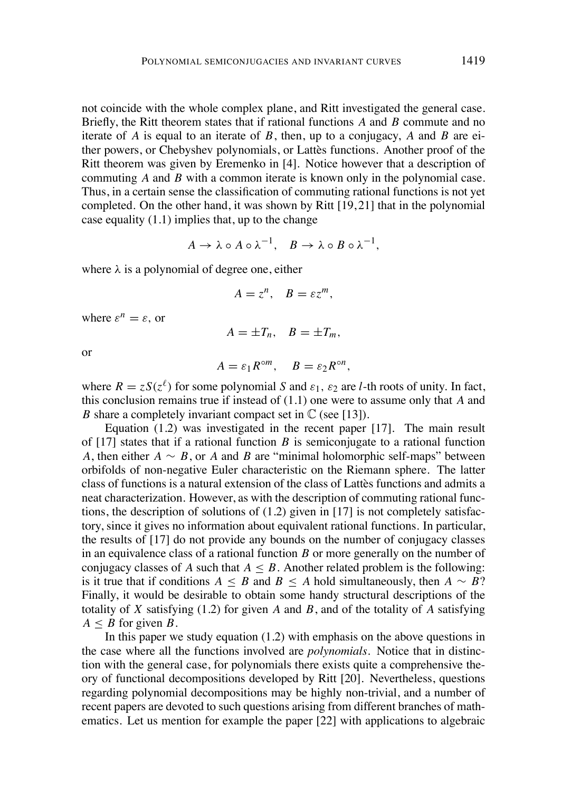not coincide with the whole complex plane, and Ritt investigated the general case. Briefly, the Ritt theorem states that if rational functions *A* and *B* commute and no iterate of *A* is equal to an iterate of *B*, then, up to a conjugacy, *A* and *B* are either powers, or Chebyshev polynomials, or Lattès functions. Another proof of the Ritt theorem was given by Eremenko in [4]. Notice however that a description of commuting *A* and *B* with a common iterate is known only in the polynomial case. Thus, in a certain sense the classification of commuting rational functions is not yet completed. On the other hand, it was shown by Ritt [19, 21] that in the polynomial case equality (1.1) implies that, up to the change

$$
A \to \lambda \circ A \circ \lambda^{-1}, \quad B \to \lambda \circ B \circ \lambda^{-1},
$$

where  $\lambda$  is a polynomial of degree one, either

$$
A=z^n, \quad B=\varepsilon z^m,
$$

where  $\varepsilon^n = \varepsilon$ , or

$$
A=\pm T_n, \quad B=\pm T_m,
$$

or

$$
A=\varepsilon_1R^{\circ m},\quad B=\varepsilon_2R^{\circ n},
$$

where  $R = zS(z^{\ell})$  for some polynomial S and  $\varepsilon_1$ ,  $\varepsilon_2$  are *l*-th roots of unity. In fact, this conclusion remains true if instead of (1.1) one were to assume only that *A* and *B* share a completely invariant compact set in  $\mathbb{C}$  (see [13]).

Equation (1.2) was investigated in the recent paper [17]. The main result of  $[17]$  states that if a rational function *B* is semiconjugate to a rational function *A*, then either  $A \sim B$ , or *A* and *B* are "minimal holomorphic self-maps" between orbifolds of non-negative Euler characteristic on the Riemann sphere. The latter class of functions is a natural extension of the class of Lattes functions and admits a neat characterization. However, as with the description of commuting rational functions, the description of solutions of (1.2) given in [17] is not completely satisfactory, since it gives no information about equivalent rational functions. In particular, the results of [17] do not provide any bounds on the number of conjugacy classes in an equivalence class of a rational function *B* or more generally on the number of conjugacy classes of *A* such that  $A \leq B$ . Another related problem is the following: is it true that if conditions  $A \leq B$  and  $B \leq A$  hold simultaneously, then  $A \sim B$ ? Finally, it would be desirable to obtain some handy structural descriptions of the totality of *X* satisfying (1.2) for given *A* and *B*, and of the totality of *A* satisfying  $A \leq B$  for given *B*.

In this paper we study equation  $(1.2)$  with emphasis on the above questions in the case where all the functions involved are *polynomials*. Notice that in distinction with the general case, for polynomials there exists quite a comprehensive theory of functional decompositions developed by Ritt [20]. Nevertheless, questions regarding polynomial decompositions may be highly non-trivial, and a number of recent papers are devoted to such questions arising from different branches of mathematics. Let us mention for example the paper [22] with applications to algebraic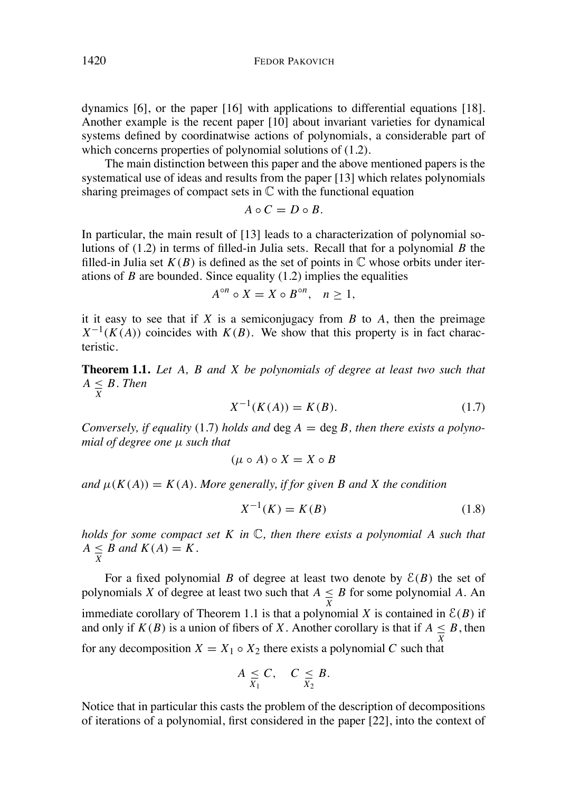dynamics [6], or the paper [16] with applications to differential equations [18]. Another example is the recent paper [10] about invariant varieties for dynamical systems defined by coordinatwise actions of polynomials, a considerable part of which concerns properties of polynomial solutions of (1.2).

The main distinction between this paper and the above mentioned papers is the systematical use of ideas and results from the paper [13] which relates polynomials sharing preimages of compact sets in  $\mathbb C$  with the functional equation

$$
A\circ C=D\circ B.
$$

In particular, the main result of [13] leads to a characterization of polynomial solutions of (1.2) in terms of filled-in Julia sets. Recall that for a polynomial *B* the filled-in Julia set  $K(B)$  is defined as the set of points in  $\mathbb C$  whose orbits under iterations of *B* are bounded. Since equality (1.2) implies the equalities

$$
A^{\circ n} \circ X = X \circ B^{\circ n}, \quad n \ge 1,
$$

it it easy to see that if  $X$  is a semiconjugacy from  $B$  to  $A$ , then the preimage  $X^{-1}(K(A))$  coincides with  $K(B)$ . We show that this property is in fact characteristic.

**Theorem 1.1.** *Let A, B and X be polynomials of degree at least two such that*  $A \leq B$ . *Then* 

$$
X^{-1}(K(A)) = K(B).
$$
 (1.7)

*Conversely, if equality* (1.7) *holds* and  $\deg A = \deg B$ *, then there exists* a *polynomial of degree one µ such that*

$$
(\mu \circ A) \circ X = X \circ B
$$

 $\mu(K(A)) = K(A)$ . More generally, if for given B and X the condition

$$
X^{-1}(K) = K(B)
$$
 (1.8)

*holds for some compact set K in* C*, then there exists a polynomial A such that*  $A \leq B$  and  $K(A) = K$ .

For a fixed polynomial *B* of degree at least two denote by  $E(B)$  the set of polynomials *X* of degree at least two such that  $A \leq B$  for some polynomial *A*. An immediate corollary of Theorem 1.1 is that a polynomial *X* is contained in  $\mathcal{E}(B)$  if and only if  $K(B)$  is a union of fibers of *X*. Another corollary is that if  $A \leq B$ , then for any decomposition  $X = X_1 \circ X_2$  there exists a polynomial C such that

$$
A \leq C, \quad C \leq B.
$$

Notice that in particular this casts the problem of the description of decompositions of iterations of a polynomial, first considered in the paper [22], into the context of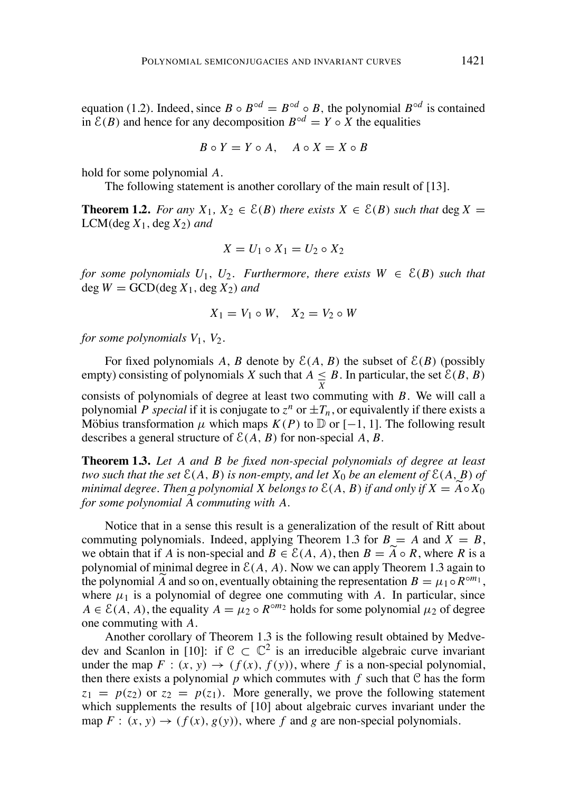equation (1.2). Indeed, since  $B \circ B^{\circ d} = B^{\circ d} \circ B$ , the polynomial  $B^{\circ d}$  is contained in  $\mathcal{E}(B)$  and hence for any decomposition  $B^{\circ d} = Y \circ X$  the equalities

$$
B \circ Y = Y \circ A, \quad A \circ X = X \circ B
$$

hold for some polynomial *A*.

The following statement is another corollary of the main result of [13].

**Theorem 1.2.** For any  $X_1, X_2 \in \mathcal{E}(B)$  there exists  $X \in \mathcal{E}(B)$  such that deg  $X =$  $LCM$ (deg  $X_1$ , deg  $X_2$ ) and

$$
X = U_1 \circ X_1 = U_2 \circ X_2
$$

*for some polynomials*  $U_1$ ,  $U_2$ *. Furthermore, there exists*  $W \in \mathcal{E}(B)$  *such that*  $\deg W = \text{GCD}(\deg X_1, \deg X_2)$  *and* 

$$
X_1 = V_1 \circ W, \quad X_2 = V_2 \circ W
$$

*for some polynomials*  $V_1$ ,  $V_2$ .

For fixed polynomials A, B denote by  $\mathcal{E}(A, B)$  the subset of  $\mathcal{E}(B)$  (possibly empty) consisting of polynomials *X* such that  $A \leq B$ . In particular, the set  $\mathcal{E}(B, B)$ consists of polynomials of degree at least two commuting with *B*. We will call a polynomial *P special* if it is conjugate to  $z^n$  or  $\pm T_n$ , or equivalently if there exists a Möbius transformation  $\mu$  which maps  $K(P)$  to  $\mathbb D$  or  $[-1, 1]$ . The following result describes a general structure of  $\mathcal{E}(A, B)$  for non-special  $A, B$ .

**Theorem 1.3.** *Let A and B be fixed non-special polynomials of degree at least* two such that the set  $\mathcal{E}(A, B)$  is non-empty, and let  $X_0$  be an element of  $\mathcal{E}(A, B)$  of *minimal degree. Then*  $a$  *polynomial*  $X$  *belongs to*  $\mathcal{E}(A, B)$  *if and only if*  $X = A \circ X_0$ *for some polynomial A* e*commuting with A.*

Notice that in a sense this result is a generalization of the result of Ritt about commuting polynomials. Indeed, applying Theorem 1.3 for  $B = A$  and  $X = B$ , we obtain that if *A* is non-special and  $B \in \mathcal{E}(A, A)$ , then  $B = A \circ R$ , where *R* is a polynomial of minimal degree in  $\mathcal{E}(A, A)$ . Now we can apply Theorem 1.3 again to the polynomial  $\widetilde{A}$  and so on, eventually obtaining the representation  $B = \mu_1 \circ R^{\circ m_1}$ , where  $\mu_1$  is a polynomial of degree one commuting with A. In particular, since  $A \in \mathcal{E}(A, A)$ , the equality  $A = \mu_2 \circ R^{\circ m_2}$  holds for some polynomial  $\mu_2$  of degree one commuting with *A*.

Another corollary of Theorem 1.3 is the following result obtained by Medvedev and Scanlon in [10]: if  $C \subset \mathbb{C}^2$  is an irreducible algebraic curve invariant under the map  $F : (x, y) \rightarrow (f(x), f(y))$ , where f is a non-special polynomial, then there exists a polynomial  $p$  which commutes with  $f$  such that  $C$  has the form  $z_1 = p(z_2)$  or  $z_2 = p(z_1)$ . More generally, we prove the following statement which supplements the results of [10] about algebraic curves invariant under the map  $F: (x, y) \rightarrow (f(x), g(y))$ , where f and g are non-special polynomials.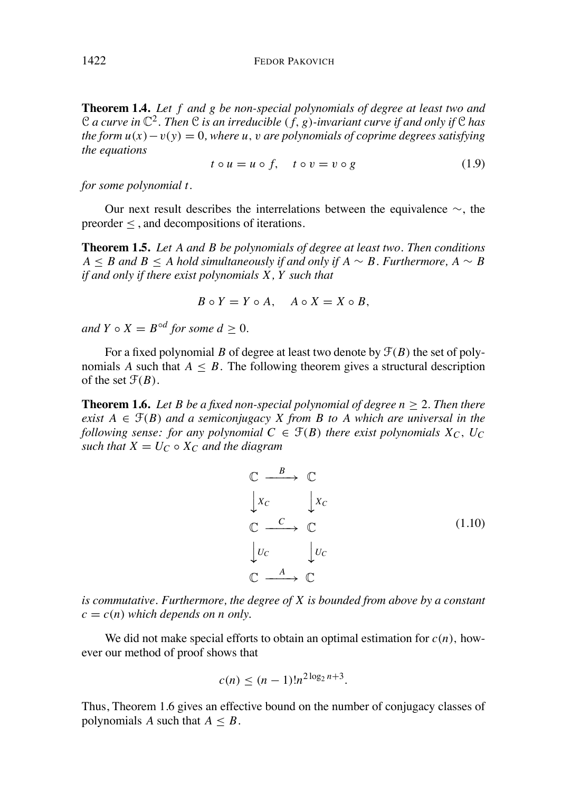1422 FEDOR PAKOVICH

**Theorem 1.4.** *Let f and g be non-special polynomials of degree at least two and* C a curve in  $\mathbb{C}^2$ . Then C is an irreducible  $(f, g)$ -invariant curve if and only if C has *the form*  $u(x) - v(y) = 0$ *, where u, v are polynomials of coprime degrees satisfying the equations*

$$
t \circ u = u \circ f, \quad t \circ v = v \circ g \tag{1.9}
$$

*for some polynomial t.*

Our next result describes the interrelations between the equivalence  $\sim$ , the preorder  $\leq$ , and decompositions of iterations.

**Theorem 1.5.** *Let A and B be polynomials of degree at least two. Then conditions*  $A \leq B$  *and*  $B \leq A$  *hold* simultaneously if and only if  $A \sim B$ . Furthermore,  $A \sim B$ *if and only if there exist polynomials X, Y such that*

$$
B \circ Y = Y \circ A, \quad A \circ X = X \circ B,
$$

*and*  $Y \circ X = B^{\circ d}$  *for some*  $d > 0$ *.* 

For a fixed polynomial *B* of degree at least two denote by  $\mathcal{F}(B)$  the set of polynomials *A* such that  $A \leq B$ . The following theorem gives a structural description of the set  $\mathcal{F}(B)$ .

**Theorem 1.6.** Let B be a fixed non-special polynomial of degree  $n > 2$ . Then there *exist*  $A \in \mathcal{F}(B)$  *and a semiconjugacy X from B to A which are universal in the following sense: for any polynomial*  $C \in \mathcal{F}(B)$  *there exist polynomials*  $X_C$ *,*  $U_C$ *such that*  $X = U_C \circ X_C$  *and the diagram* 

$$
\begin{array}{ccc}\n\mathbb{C} & \xrightarrow{B} & \mathbb{C} \\
\downarrow x_c & \downarrow x_c \\
\mathbb{C} & \xrightarrow{C} & \mathbb{C} \\
\downarrow u_c & \downarrow u_c \\
\mathbb{C} & \xrightarrow{A} & \mathbb{C}\n\end{array} \tag{1.10}
$$

*is commutative. Furthermore, the degree of X is bounded from above by a constant*  $c = c(n)$  *which depends on n only.* 

We did not make special efforts to obtain an optimal estimation for  $c(n)$ , however our method of proof shows that

$$
c(n) \le (n-1)! n^{2\log_2 n + 3}.
$$

Thus, Theorem 1.6 gives an effective bound on the number of conjugacy classes of polynomials *A* such that  $A \leq B$ .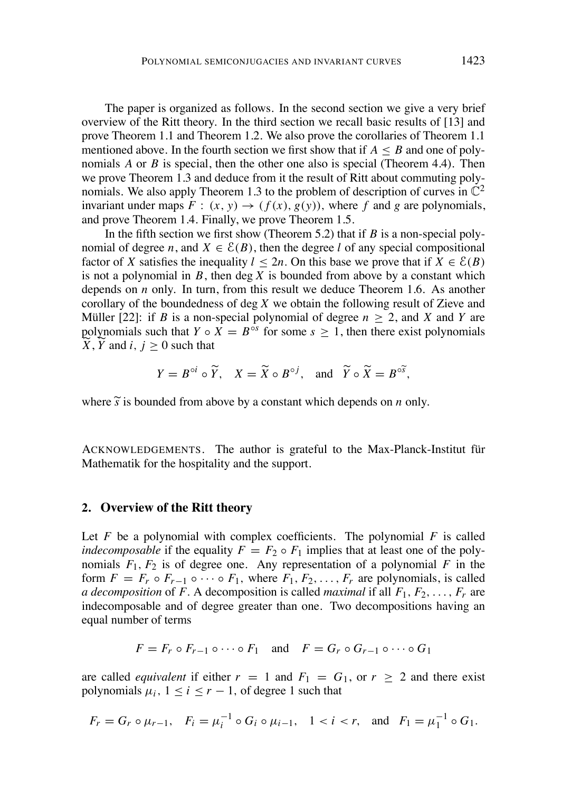The paper is organized as follows. In the second section we give a very brief overview of the Ritt theory. In the third section we recall basic results of [13] and prove Theorem 1.1 and Theorem 1.2. We also prove the corollaries of Theorem 1.1 mentioned above. In the fourth section we first show that if  $A \leq B$  and one of polynomials *A* or *B* is special, then the other one also is special (Theorem 4.4). Then we prove Theorem 1.3 and deduce from it the result of Ritt about commuting polynomials. We also apply Theorem 1.3 to the problem of description of curves in  $\mathbb{C}^2$ invariant under maps  $F : (x, y) \rightarrow (f(x), g(y))$ , where f and g are polynomials. and prove Theorem 1.4. Finally, we prove Theorem 1.5.

In the fifth section we first show (Theorem 5.2) that if *B* is a non-special polynomial of degree *n*, and  $X \in \mathcal{E}(B)$ , then the degree *l* of any special compositional factor of *X* satisfies the inequality  $l < 2n$ . On this base we prove that if  $X \in \mathcal{E}(B)$ is not a polynomial in  $B$ , then deg  $X$  is bounded from above by a constant which depends on *n* only. In turn, from this result we deduce Theorem 1.6. As another corollary of the boundedness of deg *X* we obtain the following result of Zieve and Müller [22]: if *B* is a non-special polynomial of degree  $n > 2$ , and *X* and *Y* are polynomials such that *Y*  $\circ$  *X* = *B*<sup> $\circ$ s</sup> for some *s*  $\geq$  1, then there exist polynomials  $X, Y$  and  $i, j \geq 0$  such that

$$
Y = B^{\circ i} \circ \widetilde{Y}, \quad X = \widetilde{X} \circ B^{\circ j}, \quad \text{and} \quad \widetilde{Y} \circ \widetilde{X} = B^{\circ \widetilde{S}},
$$

where  $\tilde{s}$  is bounded from above by a constant which depends on *n* only.

ACKNOWLEDGEMENTS. The author is grateful to the Max-Planck-Institut für Mathematik for the hospitality and the support.

### **2. Overview of the Ritt theory**

Let  $F$  be a polynomial with complex coefficients. The polynomial  $F$  is called *indecomposable* if the equality  $F = F_2 \circ F_1$  implies that at least one of the polynomials  $F_1$ ,  $F_2$  is of degree one. Any representation of a polynomial  $F$  in the form  $F = F_r \circ F_{r-1} \circ \cdots \circ F_1$ , where  $F_1, F_2, \ldots, F_r$  are polynomials, is called *a decomposition* of *F*. A decomposition is called *maximal* if all  $F_1, F_2, \ldots, F_r$  are indecomposable and of degree greater than one. Two decompositions having an equal number of terms

$$
F = F_r \circ F_{r-1} \circ \cdots \circ F_1 \quad \text{and} \quad F = G_r \circ G_{r-1} \circ \cdots \circ G_1
$$

are called *equivalent* if either  $r = 1$  and  $F_1 = G_1$ , or  $r \ge 2$  and there exist polynomials  $\mu_i$ ,  $1 \le i \le r - 1$ , of degree 1 such that

$$
F_r = G_r \circ \mu_{r-1}
$$
,  $F_i = \mu_i^{-1} \circ G_i \circ \mu_{i-1}$ ,  $1 < i < r$ , and  $F_1 = \mu_1^{-1} \circ G_1$ .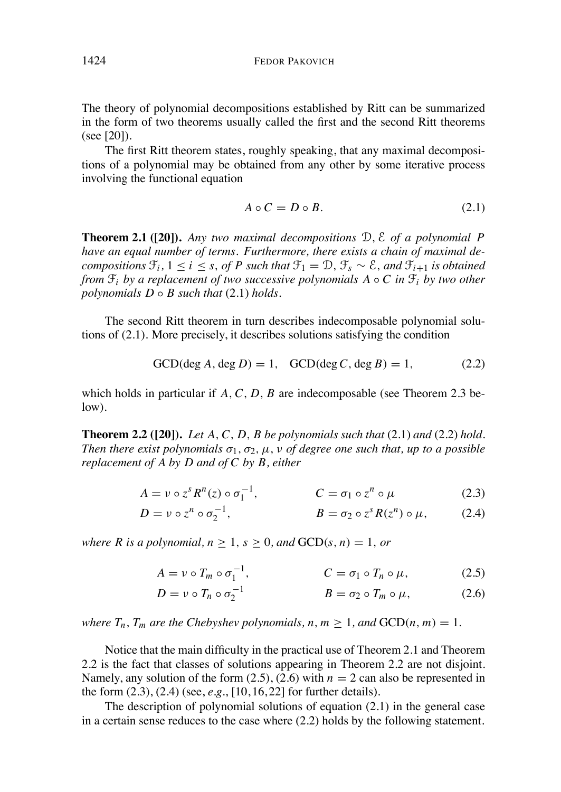The theory of polynomial decompositions established by Ritt can be summarized in the form of two theorems usually called the first and the second Ritt theorems (see [20]).

The first Ritt theorem states, roughly speaking, that any maximal decompositions of a polynomial may be obtained from any other by some iterative process involving the functional equation

$$
A \circ C = D \circ B. \tag{2.1}
$$

**Theorem 2.1 ([20]).** *Any two maximal decompositions* D*,* E *of a polynomial P have an equal number of terms. Furthermore, there exists a chain of maximal decompositions*  $\mathcal{F}_i$ ,  $1 \le i \le s$ , *of P such that*  $\mathcal{F}_1 = \mathcal{D}$ ,  $\mathcal{F}_s \sim \mathcal{E}$ , *and*  $\mathcal{F}_{i+1}$  *is obtained from*  $\mathcal{F}_i$  *by a replacement of two successive polynomials*  $A \circ C$  *in*  $\mathcal{F}_i$  *by two other polynomials*  $D \circ B$  *such that* (2.1) *holds*.

The second Ritt theorem in turn describes indecomposable polynomial solutions of (2.1). More precisely, it describes solutions satisfying the condition

$$
GCD(\deg A, \deg D) = 1, \quad GCD(\deg C, \deg B) = 1,
$$
 (2.2)

which holds in particular if *A,C, D, B* are indecomposable (see Theorem 2.3 below).

**Theorem 2.2 ([20]).** *Let A,C, D, B be polynomials such that* (2.1) *and* (2.2) *hold. Then there exist polynomials*  $\sigma_1$ ,  $\sigma_2$ ,  $\mu$ ,  $\nu$  *of degree one such that*,  $\mu$ *p to a possible replacement of A by D and of C by B, either*

$$
A = \nu \circ z^s R^n(z) \circ \sigma_1^{-1}, \qquad C = \sigma_1 \circ z^n \circ \mu \qquad (2.3)
$$

$$
D = \nu \circ z^n \circ \sigma_2^{-1}, \qquad \qquad B = \sigma_2 \circ z^s R(z^n) \circ \mu, \qquad (2.4)
$$

*where R is a polynomial*,  $n \geq 1$ ,  $s \geq 0$ , *and*  $GCD(s, n) = 1$ , *or* 

$$
A = \nu \circ T_m \circ \sigma_1^{-1}, \qquad C = \sigma_1 \circ T_n \circ \mu, \qquad (2.5)
$$

$$
D = \nu \circ T_n \circ \sigma_2^{-1} \qquad \qquad B = \sigma_2 \circ T_m \circ \mu, \tag{2.6}
$$

*where*  $T_n$ *,*  $T_m$  *are the Chebyshev polynomials,*  $n, m \ge 1$ *, and*  $GCD(n, m) = 1$ *.* 

Notice that the main difficulty in the practical use of Theorem 2.1 and Theorem 2.2 is the fact that classes of solutions appearing in Theorem 2.2 are not disjoint. Namely, any solution of the form  $(2.5)$ ,  $(2.6)$  with  $n = 2$  can also be represented in the form (2.3), (2.4) (see, *e.g.*, [10, 16, 22] for further details).

The description of polynomial solutions of equation (2.1) in the general case in a certain sense reduces to the case where (2.2) holds by the following statement.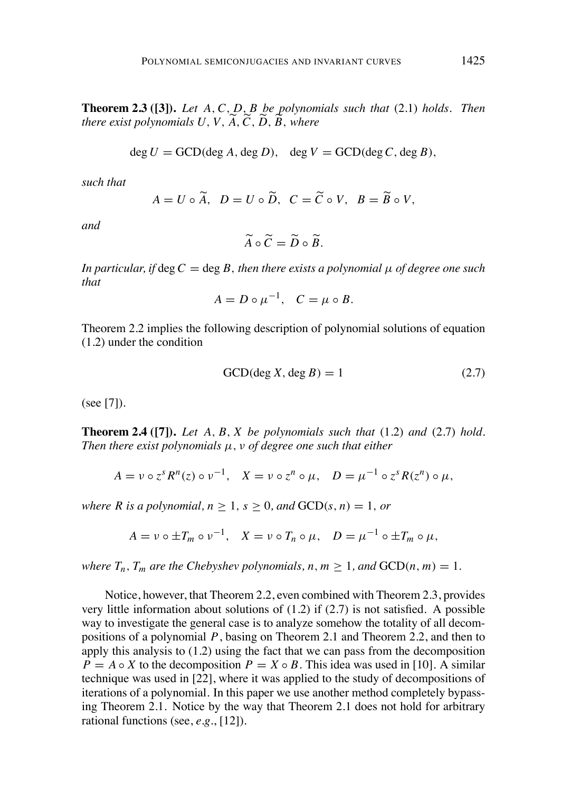**Theorem 2.3 ([3]).** *Let A,C, D, B be polynomials such that* (2.1) *holds. Then there exist polynomials U*, *V*, *A*, *C*, *D*, *B*, *where* 

$$
\deg U = \text{GCD}(\deg A, \deg D), \quad \deg V = \text{GCD}(\deg C, \deg B),
$$

*such that*

$$
A = U \circ \widetilde{A}, \quad D = U \circ \widetilde{D}, \quad C = \widetilde{C} \circ V, \quad B = \widetilde{B} \circ V,
$$

*and*

$$
\widetilde{A}\circ\widetilde{C}=\widetilde{D}\circ\widetilde{B}.
$$

*In particular, if*  $\deg C = \deg B$ *, then there exists a polynomial*  $\mu$  *of degree one such that*

$$
A = D \circ \mu^{-1}, \quad C = \mu \circ B.
$$

Theorem 2.2 implies the following description of polynomial solutions of equation (1.2) under the condition

$$
GCD(\deg X, \deg B) = 1
$$
 (2.7)

(see [7]).

**Theorem 2.4 ([7]).** *Let A, B, X be polynomials such that* (1.2) *and* (2.7) *hold. Then there exist polynomials*  $\mu$ ,  $\nu$  *of degree one such that either* 

$$
A = \nu \circ z^s R^n(z) \circ \nu^{-1}, \quad X = \nu \circ z^n \circ \mu, \quad D = \mu^{-1} \circ z^s R(z^n) \circ \mu,
$$

*where R is a polynomial*,  $n \geq 1$ ,  $s \geq 0$ , and  $GCD(s, n) = 1$ , or

$$
A = \nu \circ \pm T_m \circ \nu^{-1}, \quad X = \nu \circ T_n \circ \mu, \quad D = \mu^{-1} \circ \pm T_m \circ \mu,
$$

*where*  $T_n$ ,  $T_m$  *are the Chebyshev polynomials,*  $n, m \ge 1$ *, and*  $GCD(n, m) = 1$ .

Notice, however, that Theorem 2.2, even combined with Theorem 2.3, provides very little information about solutions of (1.2) if (2.7) is not satisfied. A possible way to investigate the general case is to analyze somehow the totality of all decompositions of a polynomial *P*, basing on Theorem 2.1 and Theorem 2.2, and then to apply this analysis to (1.2) using the fact that we can pass from the decomposition  $P = A \circ X$  to the decomposition  $P = X \circ B$ . This idea was used in [10]. A similar technique was used in [22], where it was applied to the study of decompositions of iterations of a polynomial. In this paper we use another method completely bypassing Theorem 2.1. Notice by the way that Theorem 2.1 does not hold for arbitrary rational functions (see, *e.g.*, [12]).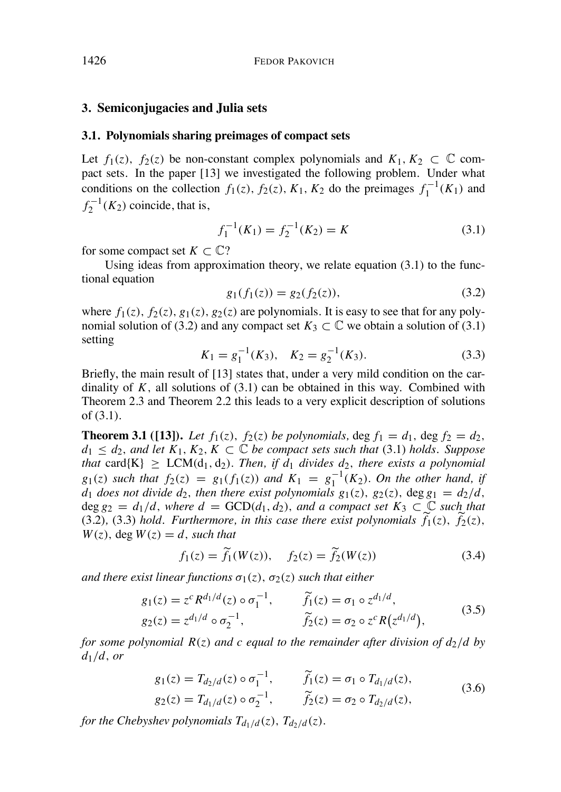### **3. Semiconjugacies and Julia sets**

### **3.1. Polynomials sharing preimages of compact sets**

Let  $f_1(z)$ ,  $f_2(z)$  be non-constant complex polynomials and  $K_1, K_2 \subset \mathbb{C}$  compact sets. In the paper [13] we investigated the following problem. Under what conditions on the collection  $f_1(z)$ ,  $f_2(z)$ ,  $K_1$ ,  $K_2$  do the preimages  $f_1^{-1}(K_1)$  and  $f_2^{-1}(K_2)$  coincide, that is,

$$
f_1^{-1}(K_1) = f_2^{-1}(K_2) = K
$$
\n(3.1)

for some compact set  $K \subset \mathbb{C}$ ?

Using ideas from approximation theory, we relate equation (3.1) to the functional equation

$$
g_1(f_1(z)) = g_2(f_2(z)), \tag{3.2}
$$

where  $f_1(z)$ ,  $f_2(z)$ ,  $g_1(z)$ ,  $g_2(z)$  are polynomials. It is easy to see that for any polynomial solution of (3.2) and any compact set  $K_3 \subset \mathbb{C}$  we obtain a solution of (3.1) setting

$$
K_1 = g_1^{-1}(K_3), \quad K_2 = g_2^{-1}(K_3). \tag{3.3}
$$

Briefly, the main result of [13] states that, under a very mild condition on the cardinality of  $K$ , all solutions of  $(3.1)$  can be obtained in this way. Combined with Theorem 2.3 and Theorem 2.2 this leads to a very explicit description of solutions of (3.1).

**Theorem 3.1** ([13]). Let  $f_1(z)$ ,  $f_2(z)$  be polynomials, deg  $f_1 = d_1$ , deg  $f_2 = d_2$ ,  $d_1 \leq d_2$ , and let  $K_1, K_2, K \subset \mathbb{C}$  be compact sets such that (3.1) holds. Suppose *that* card{K}  $\ge$  LCM(d<sub>1</sub>, d<sub>2</sub>). *Then, if*  $d_1$  *divides*  $d_2$ *, there exists a polynomial*  $g_1(z)$  such that  $f_2(z) = g_1(f_1(z))$  and  $K_1 = g_1^{-1}(K_2)$ . On the other hand, if  $d_1$  does not divide  $d_2$ , then there exist polynomials  $g_1(z)$ ,  $g_2(z)$ ,  $\deg g_1 = d_2/d$ ,  $\deg g_2 = d_1/d$ , where  $d = \text{GCD}(d_1, d_2)$ , and a compact set  $K_3 \subset \mathbb{C}$  such that  $(3.2)$ ,  $(3.3)$  *hold.* Furthermore, in this case there exist polynomials  $\tilde{f}_1(z)$ ,  $\tilde{f}_2(z)$ ,  $W(z)$ , deg  $W(z) = d$ , *such* that

$$
f_1(z) = \tilde{f}_1(W(z)), \quad f_2(z) = \tilde{f}_2(W(z))
$$
\n(3.4)

*and there exist linear functions*  $\sigma_1(z)$ *,*  $\sigma_2(z)$  *such that either* 

$$
g_1(z) = z^c R^{d_1/d}(z) \circ \sigma_1^{-1}, \qquad \widetilde{f}_1(z) = \sigma_1 \circ z^{d_1/d}, g_2(z) = z^{d_1/d} \circ \sigma_2^{-1}, \qquad \widetilde{f}_2(z) = \sigma_2 \circ z^c R(z^{d_1/d}),
$$
(3.5)

*for* some polynomial  $R(z)$  and c equal to the remainder after division of  $dz/d$  by *d*1*/d, or*

$$
g_1(z) = T_{d_2/d}(z) \circ \sigma_1^{-1}, \qquad \tilde{f}_1(z) = \sigma_1 \circ T_{d_1/d}(z),
$$
  
\n
$$
g_2(z) = T_{d_1/d}(z) \circ \sigma_2^{-1}, \qquad \tilde{f}_2(z) = \sigma_2 \circ T_{d_2/d}(z),
$$
\n(3.6)

*for the Chebyshev polynomials*  $T_{d_1/d}(z)$ ,  $T_{d_2/d}(z)$ .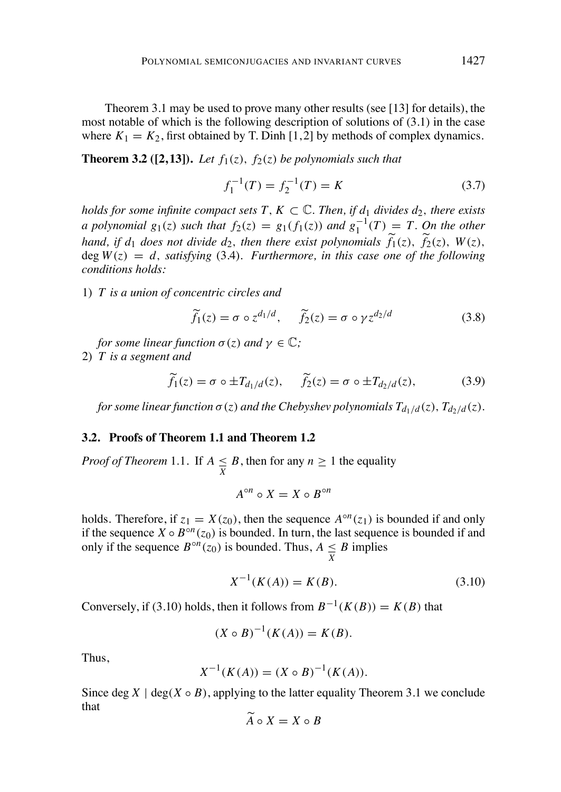Theorem 3.1 may be used to prove many other results (see [13] for details), the most notable of which is the following description of solutions of (3.1) in the case where  $K_1 = K_2$ , first obtained by T. Dinh [1, 2] by methods of complex dynamics.

# **Theorem 3.2** ([2,13]). Let  $f_1(z)$ ,  $f_2(z)$  be polynomials such that

$$
f_1^{-1}(T) = f_2^{-1}(T) = K \tag{3.7}
$$

*holds for some infinite compact sets*  $T$ *,*  $K \subset \mathbb{C}$ *. Then, if*  $d_1$  *divides*  $d_2$ *, there exists* a polynomial  $g_1(z)$  such that  $f_2(z) = g_1(f_1(z))$  and  $g_1^{-1}(T) = T$ . On the other hand, if  $d_1$  does not divide  $d_2$ , then there exist polynomials  $\widetilde{f}_1(z)$ ,  $\widetilde{f}_2(z)$ ,  $W(z)$ ,  $\deg W(z) = d$ , *satisfying* (3.4)*. Furthermore, in this case one of the following conditions holds:*

1) *T is a union of concentric circles and*

$$
\widetilde{f}_1(z) = \sigma \circ z^{d_1/d}, \quad \widetilde{f}_2(z) = \sigma \circ \gamma z^{d_2/d} \tag{3.8}
$$

*for some linear function*  $\sigma(z)$  *and*  $\gamma \in \mathbb{C}$ *;* 

2) *T is a segment and*

$$
\widetilde{f}_1(z) = \sigma \circ \pm T_{d_1/d}(z), \quad \widetilde{f}_2(z) = \sigma \circ \pm T_{d_2/d}(z), \tag{3.9}
$$

for some linear function  $\sigma(z)$  and the Chebyshev polynomials  $T_{d_1/d}(z)$ ,  $T_{d_2/d}(z)$ .

#### **3.2. Proofs of Theorem 1.1 and Theorem 1.2**

*Proof of Theorem* 1.1. If  $A \leq B$ , then for any  $n \geq 1$  the equality

$$
A^{\circ n} \circ X = X \circ B^{\circ n}
$$

holds. Therefore, if  $z_1 = X(z_0)$ , then the sequence  $A^{\circ n}(z_1)$  is bounded if and only if the sequence  $\hat{X} \circ B^{\circ n}(z_0)$  is bounded. In turn, the last sequence is bounded if and only if the sequence  $B^{\circ n}(z_0)$  is bounded. Thus,  $A \leq B$  implies *X*

$$
X^{-1}(K(A)) = K(B). \tag{3.10}
$$

Conversely, if (3.10) holds, then it follows from  $B^{-1}(K(B)) = K(B)$  that

$$
(X \circ B)^{-1}(K(A)) = K(B).
$$

Thus,

$$
X^{-1}(K(A)) = (X \circ B)^{-1}(K(A)).
$$

Since deg  $X \mid \text{deg}(X \circ B)$ , applying to the latter equality Theorem 3.1 we conclude that

$$
A \circ X = X \circ B
$$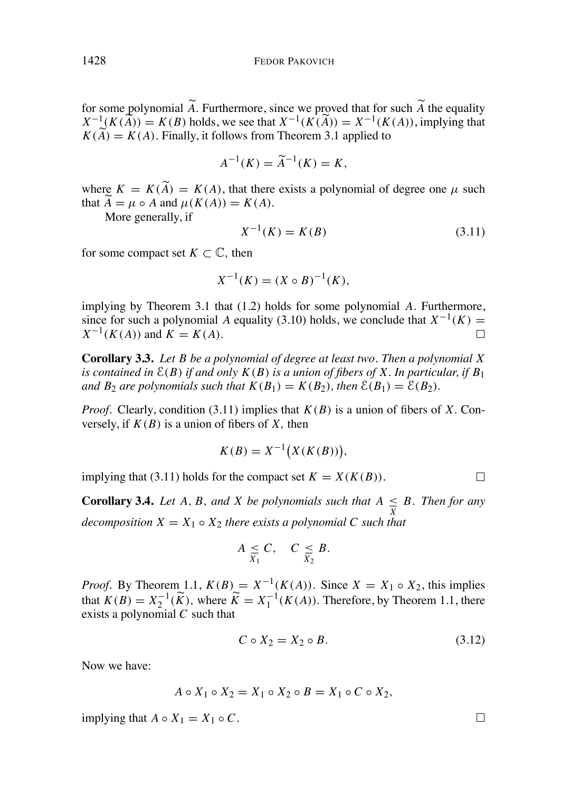for some polynomial *A*. Furthermore, since we proved that for such *A* the equality  $X^{-1}(K(A)) = K(B)$  holds, we see that  $X^{-1}(K(A)) = X^{-1}(K(A))$ , implying that  $K(A) = K(A)$ . Finally, it follows from Theorem 3.1 applied to

$$
A^{-1}(K) = \tilde{A}^{-1}(K) = K,
$$

where  $K = K(A) = K(A)$ , that there exists a polynomial of degree one  $\mu$  such that  $A = \mu \circ A$  and  $\mu(K(A)) = K(A)$ .

More generally, if

$$
X^{-1}(K) = K(B)
$$
\n(3.11)

for some compact set  $K \subset \mathbb{C}$ , then

$$
X^{-1}(K) = (X \circ B)^{-1}(K),
$$

implying by Theorem 3.1 that (1.2) holds for some polynomial *A.* Furthermore, since for such a polynomial *A* equality (3.10) holds, we conclude that  $X^{-1}(K) = X^{-1}(K(A))$  and  $K = K(A)$  $X^{-1}(K(A))$  and  $K = K(A)$ .

**Corollary 3.3.** *Let B be a polynomial of degree at least two. Then a polynomial X* is contained in  $\mathcal{E}(B)$  if and only  $K(B)$  is a union of fibers of X. In particular, if  $B_1$ *and B*<sub>2</sub> *are polynomials such that*  $K(B_1) = K(B_2)$ *, then*  $\mathcal{E}(B_1) = \mathcal{E}(B_2)$ *.* 

*Proof.* Clearly, condition (3.11) implies that  $K(B)$  is a union of fibers of X. Conversely, if  $K(B)$  is a union of fibers of X, then

$$
K(B) = X^{-1}\bigl(X(K(B))\bigr),
$$

implying that (3.11) holds for the compact set  $K = X(K(B))$ .

**Corollary 3.4.** *Let A*, *B*, *and X be polynomials such that*  $A \leq B$ *. Then for any decomposition*  $X = X_1 \circ X_2$  *there exists a polynomial C such that* 

$$
A \underset{X_1}{\leq} C, \quad C \underset{X_2}{\leq} B.
$$

*Proof.* By Theorem 1.1,  $K(B) = X^{-1}(K(A))$ . Since  $X = X_1 \circ X_2$ , this implies that  $K(B) = X_2^{-1}(\widetilde{K})$ , where  $\widetilde{K} = X_1^{-1}(K(A))$ . Therefore, by Theorem 1.1, there exists a polynomial *C* such that

$$
C \circ X_2 = X_2 \circ B. \tag{3.12}
$$

 $\Box$ 

 $\Box$ 

Now we have:

$$
A \circ X_1 \circ X_2 = X_1 \circ X_2 \circ B = X_1 \circ C \circ X_2,
$$

implying that  $A \circ X_1 = X_1 \circ C$ .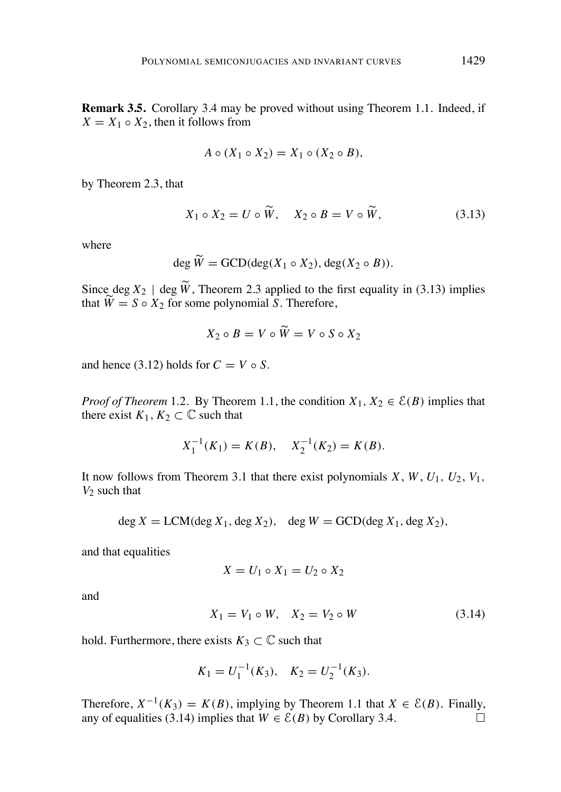**Remark 3.5.** Corollary 3.4 may be proved without using Theorem 1.1. Indeed, if  $X = X_1 \circ X_2$ , then it follows from

$$
A \circ (X_1 \circ X_2) = X_1 \circ (X_2 \circ B),
$$

by Theorem 2.3, that

$$
X_1 \circ X_2 = U \circ \widetilde{W}, \quad X_2 \circ B = V \circ \widetilde{W}, \tag{3.13}
$$

where

$$
\deg W = \text{GCD}(\deg(X_1 \circ X_2), \deg(X_2 \circ B)).
$$

Since deg  $X_2$  | deg  $\widetilde{W}$ , Theorem 2.3 applied to the first equality in (3.13) implies that  $\widetilde{W} = S \circ X_2$  for some polynomial *S*. Therefore,

$$
X_2 \circ B = V \circ \widetilde{W} = V \circ S \circ X_2
$$

and hence (3.12) holds for  $C = V \circ S$ .

 $\mathbb{R}^2$ 

*Proof of Theorem* 1.2*.* By Theorem 1.1, the condition  $X_1, X_2 \in \mathcal{E}(B)$  implies that there exist  $K_1, K_2 \subset \mathbb{C}$  such that

$$
X_1^{-1}(K_1) = K(B), \quad X_2^{-1}(K_2) = K(B).
$$

It now follows from Theorem 3.1 that there exist polynomials  $X$ ,  $W$ ,  $U_1$ ,  $U_2$ ,  $V_1$ , *V*<sup>2</sup> such that

$$
\deg X = \text{LCM}(\deg X_1, \deg X_2), \quad \deg W = \text{GCD}(\deg X_1, \deg X_2),
$$

and that equalities

$$
X = U_1 \circ X_1 = U_2 \circ X_2
$$

and

$$
X_1 = V_1 \circ W, \quad X_2 = V_2 \circ W \tag{3.14}
$$

hold. Furthermore, there exists  $K_3 \subset \mathbb{C}$  such that

$$
K_1 = U_1^{-1}(K_3), \quad K_2 = U_2^{-1}(K_3).
$$

Therefore,  $X^{-1}(K_3) = K(B)$ , implying by Theorem 1.1 that  $X \in \mathcal{E}(B)$ . Finally, any of equalities (3.14) implies that  $W \in \mathcal{E}(B)$  by Corollary 3.4. any of equalities (3.14) implies that  $W \in \mathcal{E}(B)$  by Corollary 3.4.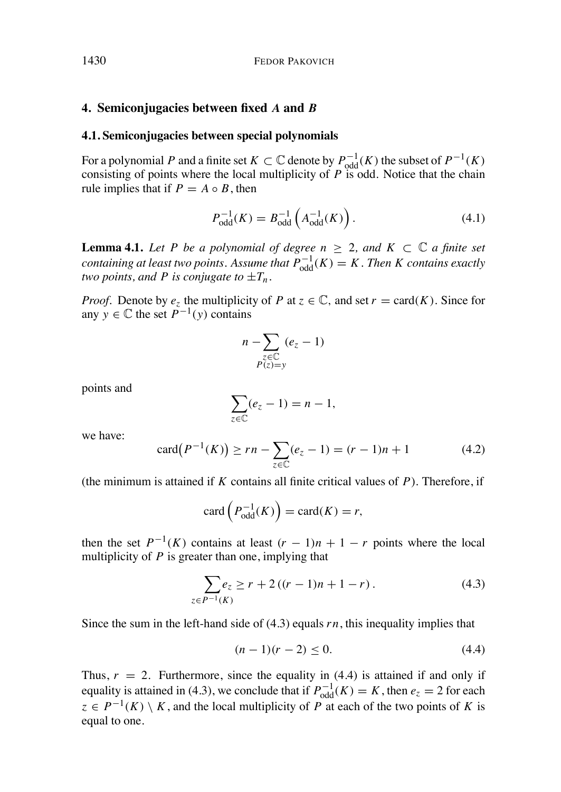### **4. Semiconjugacies between fixed** *A* **and** *B*

### **4.1. Semiconjugacies between special polynomials**

For a polynomial *P* and a finite set  $K \subset \mathbb{C}$  denote by  $P_{odd}^{-1}(K)$  the subset of  $P^{-1}(K)$ consisting of points where the local multiplicity of *P* is odd. Notice that the chain rule implies that if  $P = A \circ B$ , then

$$
P_{\text{odd}}^{-1}(K) = B_{\text{odd}}^{-1}\left(A_{\text{odd}}^{-1}(K)\right). \tag{4.1}
$$

**Lemma** 4.1. Let P be a polynomial of degree  $n > 2$ , and  $K \subset \mathbb{C}$  a finite set *containing at least two points. Assume that*  $P_{odd}^{-1}(K) = K$ . Then K *contains* exactly *two points, and P is conjugate to*  $\pm T_n$ *.* 

*Proof.* Denote by  $e_z$  the multiplicity of *P* at  $z \in \mathbb{C}$ , and set  $r = \text{card}(K)$ . Since for any  $y \in \mathbb{C}$  the set  $P^{-1}(y)$  contains

$$
n - \sum_{\substack{z \in \mathbb{C} \\ P(z) = y}} (e_z - 1)
$$

points and

$$
\sum_{z \in \mathbb{C}} (e_z - 1) = n - 1,
$$

we have:

$$
card(P^{-1}(K)) \ge rn - \sum_{z \in \mathbb{C}} (e_z - 1) = (r - 1)n + 1 \tag{4.2}
$$

(the minimum is attained if *K* contains all finite critical values of *P*). Therefore, if

$$
\operatorname{card}\left(P_{\operatorname{odd}}^{-1}(K)\right) = \operatorname{card}(K) = r,
$$

then the set  $P^{-1}(K)$  contains at least  $(r - 1)n + 1 - r$  points where the local multiplicity of *P* is greater than one, implying that

$$
\sum_{z \in P^{-1}(K)} e_z \ge r + 2((r-1)n + 1 - r).
$$
 (4.3)

Since the sum in the left-hand side of  $(4.3)$  equals  $rn$ , this inequality implies that

$$
(n-1)(r-2) \le 0. \tag{4.4}
$$

Thus,  $r = 2$ . Furthermore, since the equality in (4.4) is attained if and only if equality is attained in (4.3), we conclude that if  $P_{odd}^{-1}(K) = K$ , then  $e_z = 2$  for each  $z \in P^{-1}(K) \setminus K$ , and the local multiplicity of *P* at each of the two points of *K* is equal to one.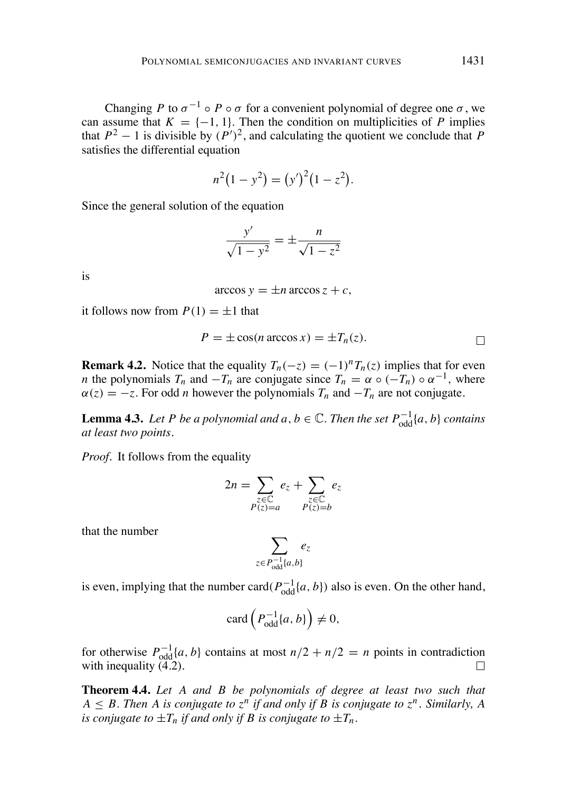Changing *P* to  $\sigma^{-1} \circ P \circ \sigma$  for a convenient polynomial of degree one  $\sigma$ , we can assume that  $K = \{-1, 1\}$ . Then the condition on multiplicities of *P* implies that  $P^2 - 1$  is divisible by  $(P')^2$ , and calculating the quotient we conclude that *P* satisfies the differential equation

$$
n^2(1 - y^2) = (y')^2(1 - z^2).
$$

Since the general solution of the equation

$$
\frac{y'}{\sqrt{1-y^2}} = \pm \frac{n}{\sqrt{1-z^2}}
$$

is

$$
\arccos y = \pm n \arccos z + c,
$$

it follows now from  $P(1) = \pm 1$  that

$$
P = \pm \cos(n \arccos x) = \pm T_n(z).
$$

**Remark 4.2.** Notice that the equality  $T_n(-z) = (-1)^n T_n(z)$  implies that for even *n* the polynomials  $T_n$  and  $-T_n$  are conjugate since  $T_n = \alpha \circ (-T_n) \circ \alpha^{-1}$ , where  $\alpha(z) = -z$ . For odd *n* however the polynomials  $T_n$  and  $-T_n$  are not conjugate.

**Lemma 4.3.** Let P be a polynomial and  $a, b \in \mathbb{C}$ . Then the set  $P_{odd}^{-1}\{a, b\}$  contains *at least two points.*

*Proof.* It follows from the equality

$$
2n = \sum_{\substack{z \in \mathbb{C} \\ P(z) = a}} e_z + \sum_{\substack{z \in \mathbb{C} \\ P(z) = b}} e_z
$$

that the number

$$
\sum_{z \in P^{-1}_{\text{odd}}\{a,b\}} e_z
$$

is even, implying that the number card $(P_{odd}^{-1}\{a, b\})$  also is even. On the other hand,

$$
\operatorname{card}\left(P_{\text{odd}}^{-1}\lbrace a,b\rbrace\right) \neq 0,
$$

for otherwise  $P_{\text{odd}}^{-1}\{a, b\}$  contains at most  $n/2 + n/2 = n$  points in contradiction with inequality  $(4.2)$ .

**Theorem 4.4.** *Let A and B be polynomials of degree at least two such that*  $A \leq B$ . Then A is conjugate to  $z^n$  if and only if B is conjugate to  $z^n$ . Similarly, A *is conjugate to*  $\pm T_n$  *if and only if B is conjugate to*  $\pm T_n$ *.*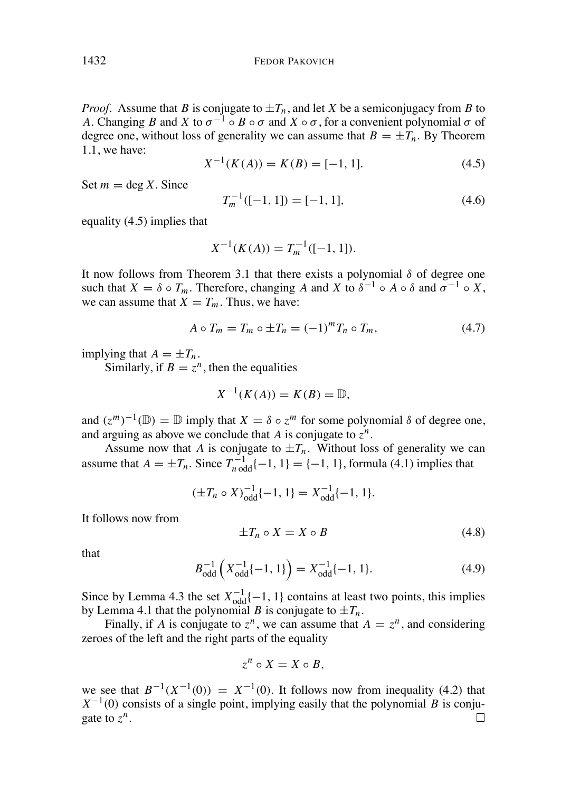*Proof.* Assume that *B* is conjugate to  $\pm T_n$ , and let *X* be a semiconjugacy from *B* to *A*. Changing *B* and *X* to  $\sigma^{-1}$   $\circ$  *B*  $\circ$   $\sigma$  and *X*  $\circ$   $\sigma$ , for a convenient polynomial  $\sigma$  of degree one, without loss of generality we can assume that  $B = \pm T_n$ . By Theorem 1.1, we have:

$$
X^{-1}(K(A)) = K(B) = [-1, 1].
$$
\n(4.5)

Set  $m = \text{deg } X$ . Since

$$
T_m^{-1}([-1, 1]) = [-1, 1],\tag{4.6}
$$

equality (4.5) implies that

$$
X^{-1}(K(A)) = T_m^{-1}([-1, 1]).
$$

It now follows from Theorem 3.1 that there exists a polynomial  $\delta$  of degree one such that  $X = \delta \circ T_m$ . Therefore, changing A and X to  $\delta^{-1} \circ A \circ \delta$  and  $\sigma^{-1} \circ X$ , we can assume that  $X = T_m$ . Thus, we have:

$$
A \circ T_m = T_m \circ \pm T_n = (-1)^m T_n \circ T_m, \qquad (4.7)
$$

implying that  $A = \pm T_n$ .

Similarly, if  $B = z^n$ , then the equalities

$$
X^{-1}(K(A)) = K(B) = \mathbb{D},
$$

and  $(z^m)^{-1}(\mathbb{D}) = \mathbb{D}$  imply that  $X = \delta \circ z^m$  for some polynomial  $\delta$  of degree one, and arguing as above we conclude that *A* is conjugate to  $z^n$ .

Assume now that *A* is conjugate to  $\pm T_n$ . Without loss of generality we can assume that  $A = \pm T_n$ . Since  $T_{n \text{ odd}}^{-1} \{-1, 1\} = \{-1, 1\}$ , formula (4.1) implies that

$$
(\pm T_n \circ X)^{-1}_{odd} \{-1, 1\} = X^{-1}_{odd} \{-1, 1\}.
$$

It follows now from

$$
\pm T_n \circ X = X \circ B \tag{4.8}
$$

that

$$
B_{\text{odd}}^{-1}\left(X_{\text{odd}}^{-1}\{-1,1\}\right) = X_{\text{odd}}^{-1}\{-1,1\}.
$$
 (4.9)

Since by Lemma 4.3 the set  $X_{odd}^{-1}\{-1, 1\}$  contains at least two points, this implies by Lemma 4.1 that the polynomial *B* is conjugate to  $\pm T_n$ .

Finally, if *A* is conjugate to  $z^n$ , we can assume that  $A = z^n$ , and considering zeroes of the left and the right parts of the equality

$$
z^n \circ X = X \circ B,
$$

we see that  $B^{-1}(X^{-1}(0)) = X^{-1}(0)$ . It follows now from inequality (4.2) that  $X^{-1}(0)$  consists of a single point, implying easily that the polynomial *B* is conjugate to  $z^n$ .  $\Box$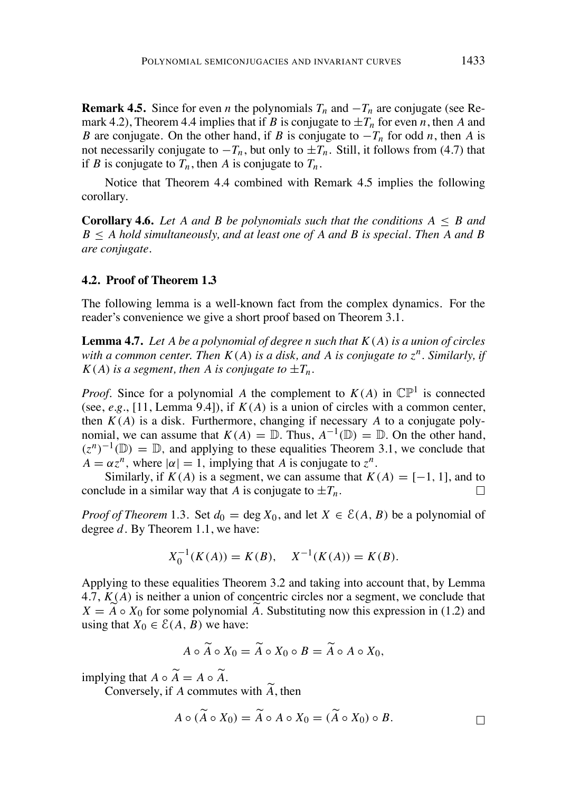**Remark 4.5.** Since for even *n* the polynomials  $T_n$  and  $-T_n$  are conjugate (see Remark 4.2), Theorem 4.4 implies that if *B* is conjugate to  $\pm T_n$  for even *n*, then *A* and *B* are conjugate. On the other hand, if *B* is conjugate to  $-T_n$  for odd *n*, then *A* is not necessarily conjugate to  $-T_n$ , but only to  $\pm T_n$ . Still, it follows from (4.7) that if *B* is conjugate to  $T_n$ , then *A* is conjugate to  $T_n$ .

Notice that Theorem 4.4 combined with Remark 4.5 implies the following corollary.

**Corollary 4.6.** Let A and B be polynomials such that the conditions  $A \leq B$  and *B A hold simultaneously, and at least one of A and B is special. Then A and B are conjugate.*

### **4.2. Proof of Theorem 1.3**

The following lemma is a well-known fact from the complex dynamics. For the reader's convenience we give a short proof based on Theorem 3.1.

**Lemma 4.7.** Let A be a polynomial of degree n such that  $K(A)$  is a union of circles with a common center. Then  $K(A)$  is a disk, and A is conjugate to  $z^n$ . Similarly, if  $K(A)$  *is a segment, then A is conjugate to*  $\pm T_n$ .

*Proof.* Since for a polynomial *A* the complement to  $K(A)$  in  $\mathbb{CP}^1$  is connected (see, *e.g.*, [11, Lemma 9.4]), if *K(A)* is a union of circles with a common center, then  $K(A)$  is a disk. Furthermore, changing if necessary A to a conjugate polynomial, we can assume that  $K(A) = \mathbb{D}$ . Thus,  $A^{-1}(\mathbb{D}) = \mathbb{D}$ . On the other hand,  $(z^n)^{-1}(\mathbb{D}) = \mathbb{D}$ , and applying to these equalities Theorem 3.1, we conclude that  $A = \alpha z^n$ , where  $|\alpha| = 1$ , implying that *A* is conjugate to  $z^n$ .

Similarly, if  $K(A)$  is a segment, we can assume that  $K(A) = [-1, 1]$ , and to thus in a similar way that A is conjugate to  $+T_n$ . conclude in a similar way that *A* is conjugate to  $\pm T_n$ .

*Proof of Theorem* 1.3. Set  $d_0 = \deg X_0$ , and let  $X \in \mathcal{E}(A, B)$  be a polynomial of degree *d*. By Theorem 1.1, we have:

$$
X_0^{-1}(K(A)) = K(B), \quad X^{-1}(K(A)) = K(B).
$$

Applying to these equalities Theorem 3.2 and taking into account that, by Lemma 4.7, *K(A)* is neither a union of concentric circles nor a segment, we conclude that  $X = A \circ X_0$  for some polynomial *A*. Substituting now this expression in (1.2) and using that  $X_0 \in \mathcal{E}(A, B)$  we have:

$$
A \circ A \circ X_0 = A \circ X_0 \circ B = A \circ A \circ X_0,
$$

implying that  $A \circ A = A \circ A$ .

Conversely, if *A* commutes with *A*, then  $\mathbb{R}^2$ 

$$
A \circ (\widetilde{A} \circ X_0) = \widetilde{A} \circ A \circ X_0 = (\widetilde{A} \circ X_0) \circ B.
$$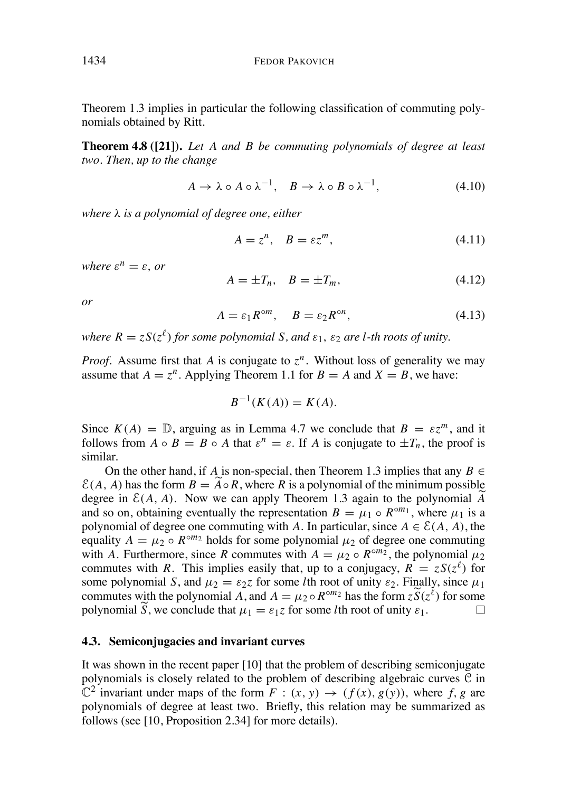Theorem 1.3 implies in particular the following classification of commuting polynomials obtained by Ritt.

**Theorem 4.8 ([21]).** *Let A and B be commuting polynomials of degree at least two. Then, up to the change*

$$
A \to \lambda \circ A \circ \lambda^{-1}, \quad B \to \lambda \circ B \circ \lambda^{-1}, \tag{4.10}
$$

*where is a polynomial of degree one, either*

$$
A = z^n, \quad B = \varepsilon z^m,\tag{4.11}
$$

*where*  $\varepsilon^n = \varepsilon$ *, or* 

$$
A = \pm T_n, \quad B = \pm T_m,\tag{4.12}
$$

*or*

$$
A = \varepsilon_1 R^{\circ m}, \quad B = \varepsilon_2 R^{\circ n}, \tag{4.13}
$$

*where*  $R = zS(z^{\ell})$  *for some polynomial S, and*  $\varepsilon_1$ *,*  $\varepsilon_2$  *are l-th roots of unity.* 

*Proof.* Assume first that *A* is conjugate to  $z^n$ . Without loss of generality we may assume that  $A = z^n$ . Applying Theorem 1.1 for  $B = A$  and  $X = B$ , we have:

$$
B^{-1}(K(A)) = K(A).
$$

Since  $K(A) = \mathbb{D}$ , arguing as in Lemma 4.7 we conclude that  $B = \varepsilon z^m$ , and it follows from  $A \circ B = B \circ A$  that  $\varepsilon^n = \varepsilon$ . If A is conjugate to  $\pm T_n$ , the proof is similar.

On the other hand, if *A* is non-special, then Theorem 1.3 implies that any  $B \in$  $E(A, A)$  has the form  $B = A \circ R$ , where  $R$  is a polynomial of the minimum possible degree in  $\mathcal{E}(A, A)$ . Now we can apply Theorem 1.3 again to the polynomial  $\overline{A}$ degree in  $C(A, A)$ . Now we can apply Theorem 1.5 again to the polynomial A and so on, obtaining eventually the representation  $B = \mu_1 \circ R^{\circ m_1}$ , where  $\mu_1$  is a polynomial of degree one commuting with *A*. In particular, since  $A \in \mathcal{E}(A, A)$ , the equality  $A = \mu_2 \circ R^{\circ m_2}$  holds for some polynomial  $\mu_2$  of degree one commuting with *A*. Furthermore, since *R* commutes with  $A = \mu_2 \circ R^{\circ m_2}$ , the polynomial  $\mu_2$ commutes with *R*. This implies easily that, up to a conjugacy,  $R = zS(z^{\ell})$  for some polynomial *S*, and  $\mu_2 = \varepsilon_2 z$  for some *l*th root of unity  $\varepsilon_2$ . Finally, since  $\mu_1$ commutes with the polynomial *A*, and  $A = \mu_2 \circ R^{\circ m_2}$  has the form  $z \widetilde{S}(z^{\ell})$  for some polynomial  $\widetilde{S}$ , we conclude that  $\mu_1 = \varepsilon_1 z$  for some *l*th root of unity  $\varepsilon_1$ . polynomial  $\tilde{S}$ , we conclude that  $\mu_1 = \varepsilon_1 z$  for some *l*th root of unity  $\varepsilon_1$ .

### **4.3. Semiconjugacies and invariant curves**

It was shown in the recent paper [10] that the problem of describing semiconjugate polynomials is closely related to the problem of describing algebraic curves  $\mathfrak C$  in  $\mathbb{C}^2$  invariant under maps of the form  $F : (x, y) \rightarrow (f(x), g(y))$ , where f, g are polynomials of degree at least two. Briefly, this relation may be summarized as follows (see [10, Proposition 2.34] for more details).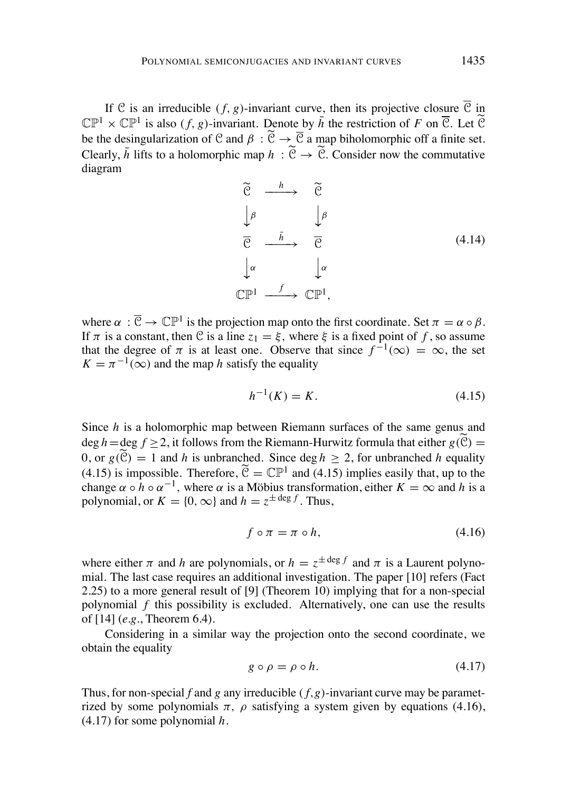If C is an irreducible  $(f, g)$ -invariant curve, then its projective closure  $\overline{C}$  in  $\mathbb{CP}^1 \times \mathbb{CP}^1$  is also (f, g)-invariant. Denote by  $\bar{h}$  the restriction of F on  $\overline{\mathcal{C}}$ . Let  $\widetilde{\mathcal{C}}$ be the desingularization of C and  $\beta : \widetilde{C} \to \overline{C}$  a map biholomorphic off a finite set. Clearly,  $\bar{h}$  lifts to a holomorphic map  $h : \tilde{\mathcal{C}} \to \tilde{\mathcal{C}}$ . Consider now the commutative diagram



where  $\alpha : \overline{\mathcal{C}} \to \mathbb{CP}^1$  is the projection map onto the first coordinate. Set  $\pi = \alpha \circ \beta$ . If  $\pi$  is a constant, then C is a line  $z_1 = \xi$ , where  $\xi$  is a fixed point of f, so assume that the degree of  $\pi$  is at least one. Observe that since  $f^{-1}(\infty) = \infty$ , the set  $K = \pi^{-1}(\infty)$  and the map *h* satisfy the equality

$$
h^{-1}(K) = K.
$$
\n(4.15)

Since *h* is a holomorphic map between Riemann surfaces of the same genus and  $\deg h = \deg f > 2$ , it follows from the Riemann-Hurwitz formula that either  $g(\mathcal{C}) =$ 0, or  $g(\widetilde{C}) = 1$  and *h* is unbranched. Since deg  $h > 2$ , for unbranched *h* equality (4.15) is impossible. Therefore,  $\widetilde{C} = \mathbb{CP}^1$  and (4.15) implies easily that, up to the change  $\alpha \circ h \circ \alpha^{-1}$ , where  $\alpha$  is a Möbius transformation, either  $K = \infty$  and h is a polynomial, or  $K = \{0, \infty\}$  and  $h = z^{\pm \deg f}$ . Thus,

$$
f \circ \pi = \pi \circ h,\tag{4.16}
$$

where either  $\pi$  and *h* are polynomials, or  $h = z^{\pm \deg f}$  and  $\pi$  is a Laurent polynomial. The last case requires an additional investigation. The paper [10] refers (Fact 2.25) to a more general result of [9] (Theorem 10) implying that for a non-special polynomial *f* this possibility is excluded. Alternatively, one can use the results of [14] (*e.g.*, Theorem 6.4).

Considering in a similar way the projection onto the second coordinate, we obtain the equality

$$
g \circ \rho = \rho \circ h. \tag{4.17}
$$

Thus, for non-special *f* and *g* any irreducible  $(f, g)$ -invariant curve may be parametrized by some polynomials  $\pi$ ,  $\rho$  satisfying a system given by equations (4.16), (4.17) for some polynomial *h*.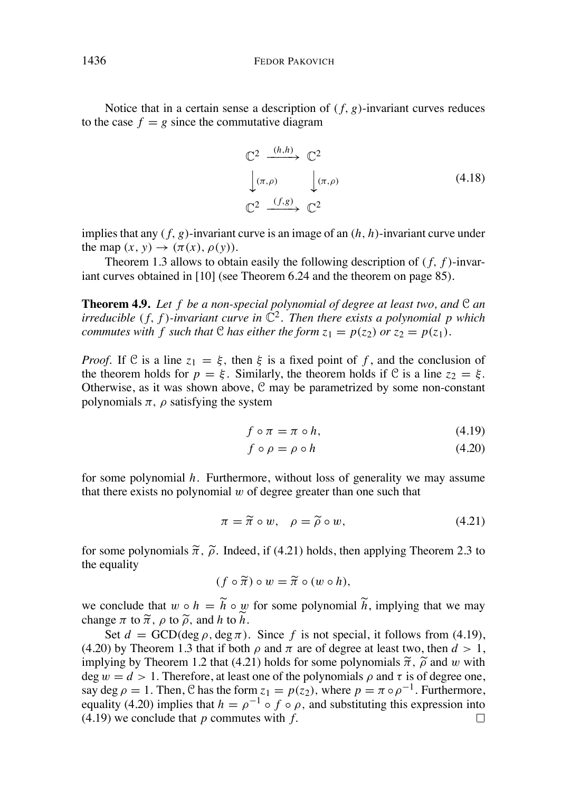Notice that in a certain sense a description of  $(f, g)$ -invariant curves reduces to the case  $f = g$  since the commutative diagram

$$
\begin{array}{ccc}\n\mathbb{C}^2 & \xrightarrow{(h,h)} & \mathbb{C}^2 \\
\downarrow(\pi,\rho) & \downarrow(\pi,\rho) & & \\
\mathbb{C}^2 & \xrightarrow{(f,g)} & \mathbb{C}^2 & & \\
\end{array}
$$
\n(4.18)

implies that any *( f, g)*-invariant curve is an image of an *(h, h)*-invariant curve under the map  $(x, y) \rightarrow (\pi(x), \rho(y))$ .

Theorem 1.3 allows to obtain easily the following description of *( f, f )*-invariant curves obtained in [10] (see Theorem 6.24 and the theorem on page 85).

**Theorem 4.9.** *Let f be a non-special polynomial of degree at least two, and* C *an irreducible* (*f, f*)*-invariant curve in*  $\mathbb{C}^2$ *. Then there exists a polynomial p which commutes* with *f* such that C has either the form  $z_1 = p(z_2)$  or  $z_2 = p(z_1)$ .

*Proof.* If C is a line  $z_1 = \xi$ , then  $\xi$  is a fixed point of f, and the conclusion of the theorem holds for  $p = \xi$ . Similarly, the theorem holds if C is a line  $z_2 = \xi$ . Otherwise, as it was shown above,  $C$  may be parametrized by some non-constant polynomials  $\pi$ ,  $\rho$  satisfying the system

$$
f \circ \pi = \pi \circ h,\tag{4.19}
$$

$$
f \circ \rho = \rho \circ h \tag{4.20}
$$

for some polynomial *h*. Furthermore, without loss of generality we may assume that there exists no polynomial *w* of degree greater than one such that

$$
\pi = \widetilde{\pi} \circ w, \quad \rho = \widetilde{\rho} \circ w,\tag{4.21}
$$

for some polynomials  $\tilde{\pi}$ ,  $\tilde{\rho}$ . Indeed, if (4.21) holds, then applying Theorem 2.3 to the equality

$$
(f\circ\widetilde{\pi})\circ w=\widetilde{\pi}\circ(w\circ h),
$$

we conclude that  $w \circ h = \tilde{h} \circ w$  for some polynomial  $\tilde{h}$ , implying that we may change  $\pi$  to  $\tilde{\pi}$ ,  $\rho$  to  $\tilde{\rho}$ , and *h* to  $\tilde{h}$ .

Set  $d = \text{GCD}(\text{deg }\rho, \text{deg }\pi)$ . Since f is not special, it follows from (4.19), (4.20) by Theorem 1.3 that if both  $\rho$  and  $\pi$  are of degree at least two, then  $d > 1$ , implying by Theorem 1.2 that (4.21) holds for some polynomials  $\tilde{\pi}$ ,  $\tilde{\rho}$  and *w* with deg  $w = d > 1$ . Therefore, at least one of the polynomials  $\rho$  and  $\tau$  is of degree one, say deg  $\rho = 1$ . Then, C has the form  $z_1 = p(z_2)$ , where  $p = \pi \circ \rho^{-1}$ . Furthermore, equality (4.20) implies that  $h = \rho^{-1} \circ f \circ \rho$ , and substituting this expression into (4.19) we conclude that *n* commutes with *f*. (4.19) we conclude that *p* commutes with *f.*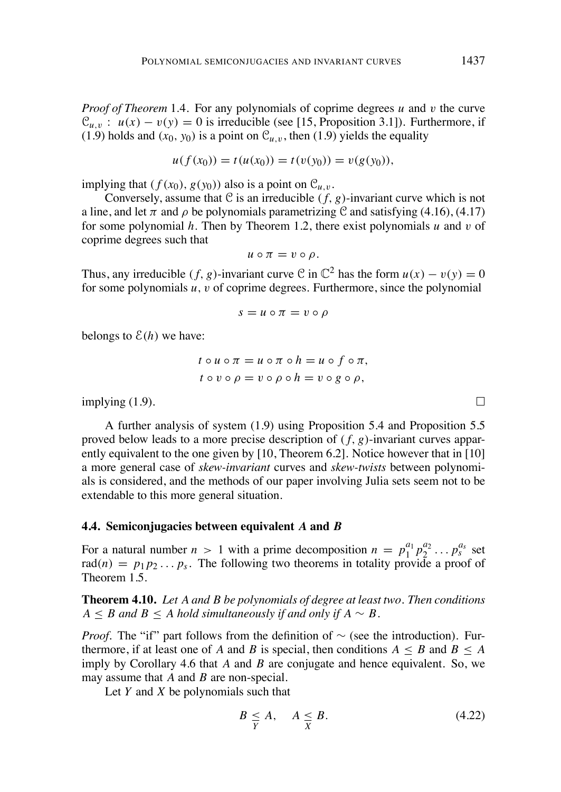*Proof of Theorem* 1*.*4*.* For any polynomials of coprime degrees *u* and *v* the curve  $\mathcal{C}_{u,v}$ :  $u(x) - v(y) = 0$  is irreducible (see [15, Proposition 3.1]). Furthermore, if (1.9) holds and  $(x_0, y_0)$  is a point on  $\mathcal{C}_{u,v}$ , then (1.9) yields the equality

$$
u(f(x_0)) = t(u(x_0)) = t(v(y_0)) = v(g(y_0)),
$$

implying that  $(f(x_0), g(y_0))$  also is a point on  $\mathcal{C}_{u,v}$ .

Conversely, assume that C is an irreducible  $(f, g)$ -invariant curve which is not a line, and let  $\pi$  and  $\rho$  be polynomials parametrizing C and satisfying (4.16), (4.17) for some polynomial *h.* Then by Theorem 1.2, there exist polynomials *u* and *v* of coprime degrees such that

$$
u\circ\pi=v\circ\rho.
$$

Thus, any irreducible  $(f, g)$ -invariant curve C in  $\mathbb{C}^2$  has the form  $u(x) - v(y) = 0$ for some polynomials *u, v* of coprime degrees. Furthermore, since the polynomial

$$
s = u \circ \pi = v \circ \rho
$$

belongs to  $\mathcal{E}(h)$  we have:

$$
t \circ u \circ \pi = u \circ \pi \circ h = u \circ f \circ \pi,
$$
  

$$
t \circ v \circ \rho = v \circ \rho \circ h = v \circ g \circ \rho,
$$

implying (1.9).

A further analysis of system (1.9) using Proposition 5.4 and Proposition 5.5 proved below leads to a more precise description of *( f, g)*-invariant curves apparently equivalent to the one given by [10, Theorem 6.2]. Notice however that in [10] a more general case of *skew-invariant* curves and *skew-twists* between polynomials is considered, and the methods of our paper involving Julia sets seem not to be extendable to this more general situation.

### **4.4. Semiconjugacies between equivalent** *A* **and** *B*

For a natural number  $n > 1$  with a prime decomposition  $n = p_1^{a_1} p_2^{a_2} \dots p_s^{a_s}$  set rad $(n) = p_1 p_2 \dots p_s$ . The following two theorems in totality provide a proof of Theorem 1.5.

**Theorem 4.10.** *Let A and B be polynomials of degree at least two. Then conditions*  $A \leq B$  *and*  $B \leq A$  *hold* simultaneously if and only if  $A \sim B$ .

*Proof.* The "if" part follows from the definition of  $\sim$  (see the introduction). Furthermore, if at least one of A and B is special, then conditions  $A \leq B$  and  $B \leq A$ imply by Corollary 4.6 that *A* and *B* are conjugate and hence equivalent. So, we may assume that *A* and *B* are non-special.

Let *Y* and *X* be polynomials such that

$$
B \leq A, \quad A \leq B. \tag{4.22}
$$

 $\Box$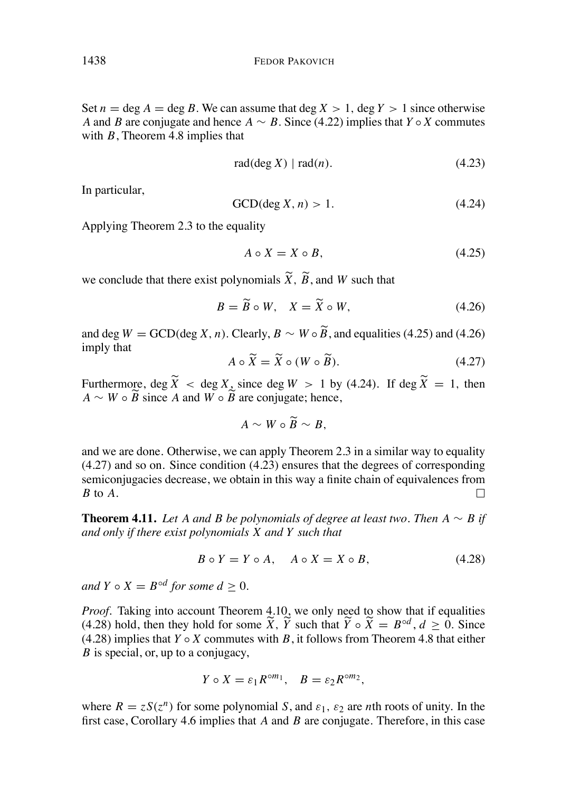Set  $n = \text{deg } A = \text{deg } B$ . We can assume that  $\text{deg } X > 1$ ,  $\text{deg } Y > 1$  since otherwise *A* and *B* are conjugate and hence  $A \sim B$ . Since (4.22) implies that  $Y \circ X$  commutes with *B*, Theorem 4.8 implies that

$$
rad(\deg X) | rad(n). \tag{4.23}
$$

In particular,

$$
GCD(\deg X, n) > 1. \tag{4.24}
$$

Applying Theorem 2.3 to the equality

$$
A \circ X = X \circ B,\tag{4.25}
$$

we conclude that there exist polynomials  $\widetilde{X}$ ,  $\widetilde{B}$ , and *W* such that

$$
B = \widetilde{B} \circ W, \quad X = \widetilde{X} \circ W,\tag{4.26}
$$

and deg  $W = \text{GCD}(\text{deg } X, n)$ . Clearly,  $B \sim W \circ \widetilde{B}$ , and equalities (4.25) and (4.26) imply that

$$
A \circ \widetilde{X} = \widetilde{X} \circ (W \circ \widetilde{B}). \tag{4.27}
$$

Furthermore, deg  $\widetilde{X}$  < deg X, since deg  $W > 1$  by (4.24). If deg  $\widetilde{X} = 1$ , then  $\overrightarrow{A} \sim W \circ \overrightarrow{B}$  since *A* and  $\overrightarrow{W} \circ \overrightarrow{B}$  are conjugate; hence,

$$
A \sim W \circ \widetilde{B} \sim B,
$$

and we are done. Otherwise, we can apply Theorem 2.3 in a similar way to equality (4.27) and so on. Since condition (4.23) ensures that the degrees of corresponding semiconjugacies decrease, we obtain in this way a finite chain of equivalences from *B* to *A*.  $\Box$ 

**Theorem 4.11.** Let A and B be polynomials of degree at least two. Then  $A \sim B$  if *and only if there exist polynomials X and Y such that*

$$
B \circ Y = Y \circ A, \quad A \circ X = X \circ B,\tag{4.28}
$$

*and*  $Y \circ X = B^{\circ d}$  *for some*  $d \geq 0$ *.* 

*Proof.* Taking into account Theorem 4.10, we only need to show that if equalities (4.28) hold, then they hold for some  $\widetilde{X}$ ,  $\widetilde{Y}$  such that  $\widetilde{Y} \circ \widetilde{X} = B^{\circ d}$ ,  $d \ge 0$ . Since (4.28) implies that  $Y \circ X$  commutes with  $B$ , it follows from Theorem 4.8 that either *B* is special, or, up to a conjugacy,

$$
Y \circ X = \varepsilon_1 R^{\circ m_1}, \quad B = \varepsilon_2 R^{\circ m_2},
$$

where  $R = zS(z^n)$  for some polynomial *S*, and  $\varepsilon_1$ ,  $\varepsilon_2$  are *n*th roots of unity. In the first case, Corollary 4.6 implies that *A* and *B* are conjugate. Therefore, in this case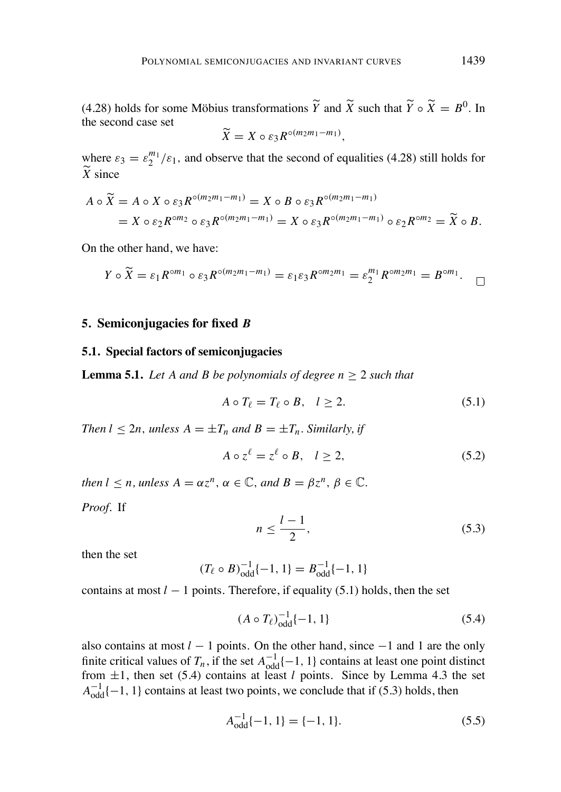(4.28) holds for some Möbius transformations  $\overline{Y}$  and  $\overline{X}$  such that  $\overline{Y} \circ \overline{X} = B^0$ . In the second case set

$$
\widetilde{X} = X \circ \varepsilon_3 R^{\circ(m_2m_1-m_1)},
$$

where  $\varepsilon_3 = \varepsilon_2^{m_1}/\varepsilon_1$ , and observe that the second of equalities (4.28) still holds for  $\widetilde{X}$  since

$$
A \circ \widetilde{X} = A \circ X \circ \varepsilon_3 R^{\circ (m_2 m_1 - m_1)} = X \circ B \circ \varepsilon_3 R^{\circ (m_2 m_1 - m_1)}
$$
  
= 
$$
X \circ \varepsilon_2 R^{\circ m_2} \circ \varepsilon_3 R^{\circ (m_2 m_1 - m_1)} = X \circ \varepsilon_3 R^{\circ (m_2 m_1 - m_1)} \circ \varepsilon_2 R^{\circ m_2} = \widetilde{X} \circ B.
$$

On the other hand, we have:

$$
Y \circ \widetilde{X} = \varepsilon_1 R^{\circ m_1} \circ \varepsilon_3 R^{\circ (m_2 m_1 - m_1)} = \varepsilon_1 \varepsilon_3 R^{\circ m_2 m_1} = \varepsilon_2^{m_1} R^{\circ m_2 m_1} = B^{\circ m_1}.
$$

### **5. Semiconjugacies for fixed** *B*

#### **5.1. Special factors of semiconjugacies**

**Lemma 5.1.** *Let A and B be polynomials of degree*  $n \geq 2$  *such that* 

$$
A \circ T_{\ell} = T_{\ell} \circ B, \quad l \ge 2. \tag{5.1}
$$

*Then*  $l \leq 2n$ *, unless*  $A = \pm T_n$  *and*  $B = \pm T_n$ *. Similarly, if* 

$$
A \circ z^{\ell} = z^{\ell} \circ B, \quad l \ge 2, \tag{5.2}
$$

*then*  $l \leq n$ , *unless*  $A = \alpha z^n$ ,  $\alpha \in \mathbb{C}$ , and  $B = \beta z^n$ ,  $\beta \in \mathbb{C}$ .

*Proof.* If

$$
n \le \frac{l-1}{2},\tag{5.3}
$$

then the set

$$
(T_{\ell} \circ B)^{-1}_{\text{odd}} \{-1, 1\} = B^{-1}_{\text{odd}} \{-1, 1\}
$$

contains at most  $l - 1$  points. Therefore, if equality (5.1) holds, then the set

$$
(A \circ T_{\ell})_{\text{odd}}^{-1} \{-1, 1\} \tag{5.4}
$$

also contains at most  $l - 1$  points. On the other hand, since  $-1$  and 1 are the only finite critical values of  $T_n$ , if the set  $A^{-1}_{odd}(-1, 1)$  contains at least one point distinct from  $\pm 1$ , then set (5.4) contains at least *l* points. Since by Lemma 4.3 the set  $A^{-1}_{odd}$  {-1, 1} contains at least two points, we conclude that if (5.3) holds, then

$$
A_{\text{odd}}^{-1}\{-1, 1\} = \{-1, 1\}.
$$
 (5.5)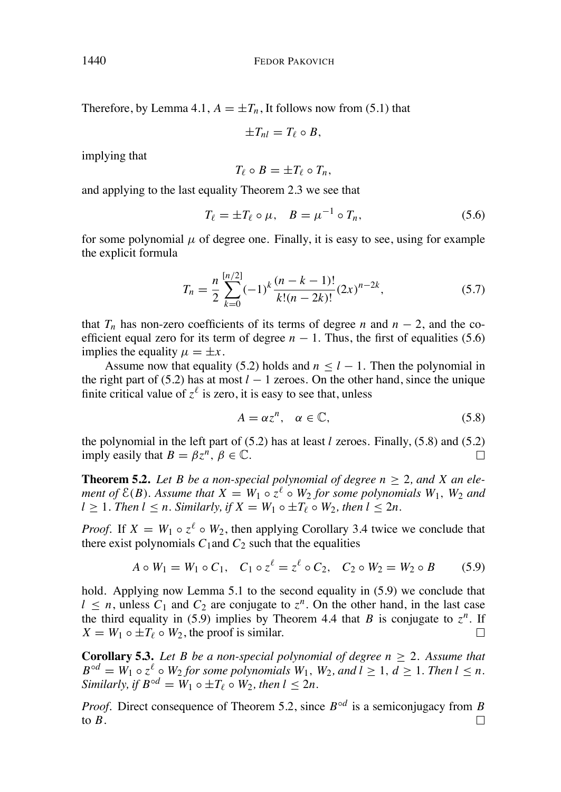Therefore, by Lemma 4.1,  $A = \pm T_n$ , It follows now from (5.1) that

$$
\pm T_{nl}=T_{\ell}\circ B,
$$

implying that

$$
T_{\ell}\circ B=\pm T_{\ell}\circ T_n,
$$

and applying to the last equality Theorem 2.3 we see that

$$
T_{\ell} = \pm T_{\ell} \circ \mu, \quad B = \mu^{-1} \circ T_n,
$$
\n
$$
(5.6)
$$

for some polynomial  $\mu$  of degree one. Finally, it is easy to see, using for example the explicit formula

$$
T_n = \frac{n}{2} \sum_{k=0}^{[n/2]} (-1)^k \frac{(n-k-1)!}{k!(n-2k)!} (2x)^{n-2k},\tag{5.7}
$$

that  $T_n$  has non-zero coefficients of its terms of degree *n* and  $n-2$ , and the coefficient equal zero for its term of degree  $n - 1$ . Thus, the first of equalities (5.6) implies the equality  $\mu = \pm x$ .

Assume now that equality (5.2) holds and  $n \leq l - 1$ . Then the polynomial in the right part of (5.2) has at most  $l - 1$  zeroes. On the other hand, since the unique finite critical value of  $z^{\ell}$  is zero, it is easy to see that, unless

$$
A = \alpha z^n, \quad \alpha \in \mathbb{C}, \tag{5.8}
$$

the polynomial in the left part of (5.2) has at least *l* zeroes. Finally, (5.8) and (5.2) imply easily that  $B = \beta z^n$ ,  $\beta \in \mathbb{C}$ .  $\Box$ 

**Theorem 5.2.** *Let B be a non-special polynomial of degree*  $n \geq 2$ *, and X an element* of  $\mathcal{E}(B)$ . Assume that  $X = W_1 \circ z^{\ell} \circ W_2$  for some polynomials  $W_1$ ,  $W_2$  and  $l > 1$ *. Then*  $l < n$ *. Similarly, if*  $X = W_1 \circ \pm T_\ell \circ W_2$ *, then*  $l < 2n$ *.* 

*Proof.* If  $X = W_1 \circ z^{\ell} \circ W_2$ , then applying Corollary 3.4 twice we conclude that there exist polynomials  $C_1$  and  $C_2$  such that the equalities

$$
A \circ W_1 = W_1 \circ C_1, \quad C_1 \circ z^{\ell} = z^{\ell} \circ C_2, \quad C_2 \circ W_2 = W_2 \circ B \tag{5.9}
$$

hold. Applying now Lemma 5.1 to the second equality in (5.9) we conclude that  $l \leq n$ , unless  $C_1$  and  $C_2$  are conjugate to  $z^n$ . On the other hand, in the last case the third equality in (5.9) implies by Theorem 4.4 that *B* is conjugate to  $z^n$ . If  $X = W_1 \circ \pm T_\ell \circ W_2$ , the proof is similar.  $\Box$ 

**Corollary 5.3.** Let B be a non-special polynomial of degree  $n > 2$ . Assume that  $B^{\circ d} = W_1 \circ z^{\ell} \circ W_2$  *for some polynomials*  $W_1$ *,*  $W_2$ *, and*  $l \geq 1$ *,*  $d \geq 1$ *. Then*  $l \leq n$ *. Similarly, if*  $B^{\circ d} = W_1 \circ \pm T_f \circ W_2$ *, then*  $l < 2n$ *.* 

*Proof.* Direct consequence of Theorem 5.2, since  $B^{\circ d}$  is a semiconjugacy from B to  $B$ .  $\Box$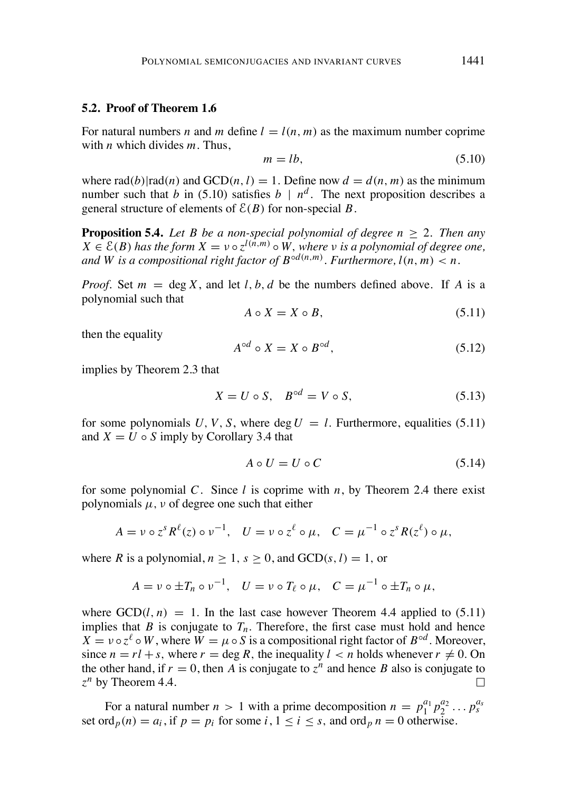### **5.2. Proof of Theorem 1.6**

For natural numbers *n* and *m* define  $l = l(n, m)$  as the maximum number coprime with *n* which divides *m*. Thus,

$$
m = lb,
$$
\n<sup>(5.10)</sup>

where  $rad(b)|rad(n)$  and  $GCD(n, l) = 1$ . Define now  $d = d(n, m)$  as the minimum number such that *b* in (5.10) satisfies  $b \mid n^d$ . The next proposition describes a general structure of elements of  $\mathcal{E}(B)$  for non-special *B*.

**Proposition 5.4.** *Let B be a non-special polynomial of degree*  $n \geq 2$ *. Then any*  $X \in \mathcal{E}(B)$  has the form  $X = v \circ z^{l(n,m)} \circ W$ , where v is a polynomial of degree one, and W is a compositional right factor of  $B^{\circ d(n,m)}$ . Furthermore,  $l(n,m) < n$ .

*Proof.* Set  $m = \deg X$ , and let *l*, *b*, *d* be the numbers defined above. If *A* is a polynomial such that

$$
A \circ X = X \circ B,\tag{5.11}
$$

then the equality

$$
A^{\circ d} \circ X = X \circ B^{\circ d},\tag{5.12}
$$

implies by Theorem 2.3 that

$$
X = U \circ S, \quad B^{\circ d} = V \circ S,\tag{5.13}
$$

for some polynomials  $U, V, S$ , where deg  $U = l$ . Furthermore, equalities (5.11) and  $X = U \circ S$  imply by Corollary 3.4 that

$$
A \circ U = U \circ C \tag{5.14}
$$

for some polynomial *C*. Since *l* is coprime with *n*, by Theorem 2.4 there exist polynomials  $\mu$ ,  $\nu$  of degree one such that either

$$
A = \nu \circ z^s R^{\ell}(z) \circ \nu^{-1}, \quad U = \nu \circ z^{\ell} \circ \mu, \quad C = \mu^{-1} \circ z^s R(z^{\ell}) \circ \mu,
$$

where *R* is a polynomial,  $n \ge 1$ ,  $s \ge 0$ , and  $GCD(s, l) = 1$ , or

$$
A = \nu \circ \pm T_n \circ \nu^{-1}, \quad U = \nu \circ T_\ell \circ \mu, \quad C = \mu^{-1} \circ \pm T_n \circ \mu,
$$

where  $GCD(l, n) = 1$ . In the last case however Theorem 4.4 applied to (5.11) implies that *B* is conjugate to  $T_n$ . Therefore, the first case must hold and hence  $X = \nu \circ z^{\ell} \circ W$ , where  $W = \mu \circ S$  is a compositional right factor of  $B^{\circ d}$ . Moreover, since  $n = r \cdot l + s$ , where  $r = \deg R$ , the inequality  $l \leq n$  holds whenever  $r \neq 0$ . On the other hand, if  $r = 0$ , then *A* is conjugate to  $z^n$  and hence *B* also is conjugate to  $z^n$  by Theorem 4.4.  $z^n$  by Theorem 4.4.

For a natural number  $n > 1$  with a prime decomposition  $n = p_1^{a_1} p_2^{a_2} \dots p_s^{a_s}$ set ord $_p(n) = a_i$ , if  $p = p_i$  for some  $i, 1 \le i \le s$ , and ord $_p n = 0$  otherwise.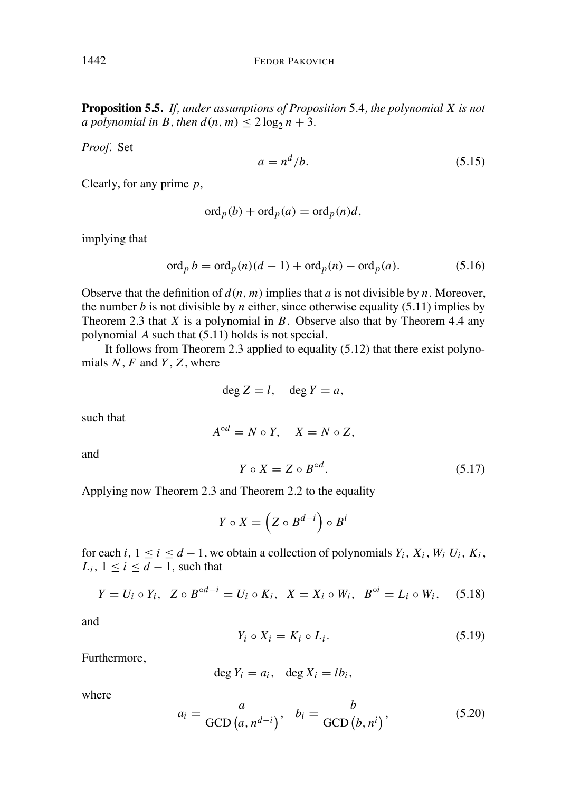**Proposition 5.5.** *If, under assumptions of Proposition* 5*.*4*, the polynomial X is not a polynomial in B*, *then*  $d(n, m) \leq 2 \log_2 n + 3$ .

*Proof.* Set

$$
a = n^d/b. \tag{5.15}
$$

Clearly, for any prime *p,*

$$
\operatorname{ord}_p(b) + \operatorname{ord}_p(a) = \operatorname{ord}_p(n)d,
$$

implying that

$$
\operatorname{ord}_p b = \operatorname{ord}_p(n)(d-1) + \operatorname{ord}_p(n) - \operatorname{ord}_p(a). \tag{5.16}
$$

Observe that the definition of  $d(n, m)$  implies that *a* is not divisible by *n*. Moreover, the number *b* is not divisible by *n* either, since otherwise equality (5.11) implies by Theorem 2.3 that *X* is a polynomial in *B*. Observe also that by Theorem 4.4 any polynomial  $\vec{A}$  such that  $(5.11)$  holds is not special.

It follows from Theorem 2.3 applied to equality (5.12) that there exist polynomials *N*, *F* and *Y*, *Z*, where

$$
\deg Z = l, \quad \deg Y = a,
$$

such that

$$
A^{\circ d} = N \circ Y, \quad X = N \circ Z,
$$

and

$$
Y \circ X = Z \circ B^{\circ d}.\tag{5.17}
$$

Applying now Theorem 2.3 and Theorem 2.2 to the equality

$$
Y \circ X = \left(Z \circ B^{d-i}\right) \circ B^i
$$

for each *i*,  $1 \le i \le d - 1$ , we obtain a collection of polynomials  $Y_i$ ,  $X_i$ ,  $W_i$ ,  $U_i$ ,  $K_i$ ,  $L_i$ ,  $1 \leq i \leq d-1$ , such that

$$
Y = U_i \circ Y_i, \ \ Z \circ B^{\circ d - i} = U_i \circ K_i, \ \ X = X_i \circ W_i, \ \ B^{\circ i} = L_i \circ W_i, \ \ (5.18)
$$

and

$$
Y_i \circ X_i = K_i \circ L_i. \tag{5.19}
$$

Furthermore,

$$
\deg Y_i = a_i, \quad \deg X_i = lb_i,
$$

where

$$
a_i = \frac{a}{\text{GCD}(a, n^{d-i})}, \quad b_i = \frac{b}{\text{GCD}(b, n^i)}, \tag{5.20}
$$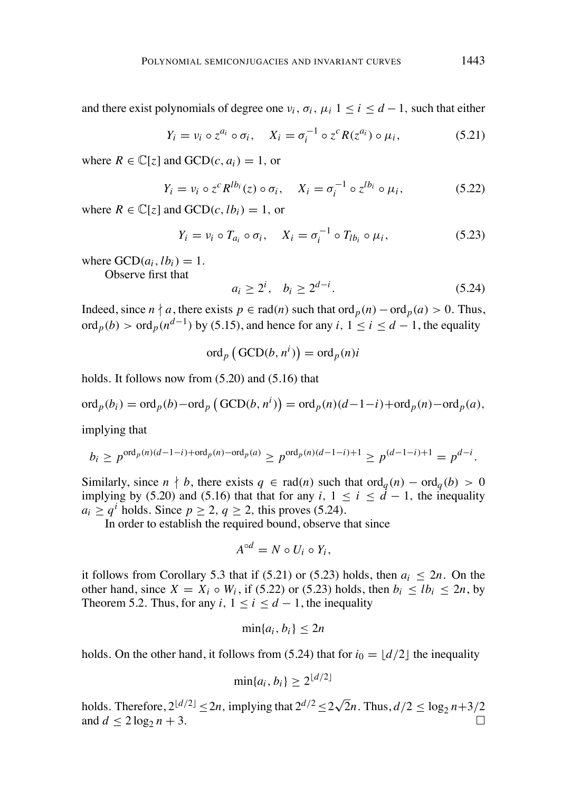and there exist polynomials of degree one  $v_i$ ,  $\sigma_i$ ,  $\mu_i$  1 < *i* < *d* - 1, such that either

$$
Y_i = v_i \circ z^{a_i} \circ \sigma_i, \quad X_i = \sigma_i^{-1} \circ z^c R(z^{a_i}) \circ \mu_i,
$$
 (5.21)

where  $R \in \mathbb{C}[z]$  and  $GCD(c, a_i) = 1$ , or

$$
Y_i = v_i \circ z^c R^{lb_i}(z) \circ \sigma_i, \quad X_i = \sigma_i^{-1} \circ z^{lb_i} \circ \mu_i,
$$
 (5.22)

where  $R \in \mathbb{C}[\zeta]$  and  $GCD(c, lb_i) = 1$ , or

$$
Y_i = v_i \circ T_{a_i} \circ \sigma_i, \quad X_i = \sigma_i^{-1} \circ T_{lb_i} \circ \mu_i,
$$
\n
$$
(5.23)
$$

where  $\text{GCD}(a_i, lb_i) = 1$ .

Observe first that

$$
a_i \ge 2^i, \quad b_i \ge 2^{d-i}.\tag{5.24}
$$

Indeed, since  $n \nmid a$ , there exists  $p \in rad(n)$  such that ord  $p(n) - ord_p(a) > 0$ . Thus, ord<sub>p</sub>(b) > ord<sub>p</sub>( $n^{d-1}$ ) by (5.15), and hence for any *i*,  $1 \le i \le d-1$ , the equality

$$
\operatorname{ord}_p\left(\operatorname{GCD}(b, n^i)\right) = \operatorname{ord}_p(n)i
$$

holds. It follows now from (5.20) and (5.16) that

$$
\operatorname{ord}_p(b_i) = \operatorname{ord}_p(b) - \operatorname{ord}_p(\operatorname{GCD}(b, n^i)) = \operatorname{ord}_p(n)(d-1-i) + \operatorname{ord}_p(n) - \operatorname{ord}_p(a),
$$

implying that

$$
b_i \ge p^{\text{ord}_p(n)(d-1-i)+\text{ord}_p(n)-\text{ord}_p(a)} \ge p^{\text{ord}_p(n)(d-1-i)+1} \ge p^{(d-1-i)+1} = p^{d-i}.
$$

Similarly, since  $n \nmid b$ , there exists  $q \in rad(n)$  such that  $ord_q(n) - ord_q(b) > 0$ implying by (5.20) and (5.16) that that for any *i*,  $1 \le i \le d - 1$ , the inequality  $a_i > q^i$  holds. Since  $p > 2$ ,  $q > 2$ , this proves (5.24).

In order to establish the required bound, observe that since

$$
A^{\circ d}=N\circ U_i\circ Y_i,
$$

it follows from Corollary 5.3 that if  $(5.21)$  or  $(5.23)$  holds, then  $a_i < 2n$ . On the other hand, since  $X = X_i \circ W_i$ , if (5.22) or (5.23) holds, then  $b_i \leq lb_i \leq 2n$ , by Theorem 5.2. Thus, for any  $i, 1 \le i \le d-1$ , the inequality

$$
\min\{a_i, b_i\} \le 2n
$$

holds. On the other hand, it follows from (5.24) that for  $i_0 = \lfloor d/2 \rfloor$  the inequality

$$
\min\{a_i, b_i\} \ge 2^{\lfloor d/2 \rfloor}
$$

holds. Therefore,  $2^{\lfloor d/2 \rfloor} \leq 2n$ , implying that  $2^{d/2} \leq 2\sqrt{2}n$ . Thus,  $d/2 \leq \log_2 n + 3/2$ and  $d \leq 2 \log_2 n + 3$ .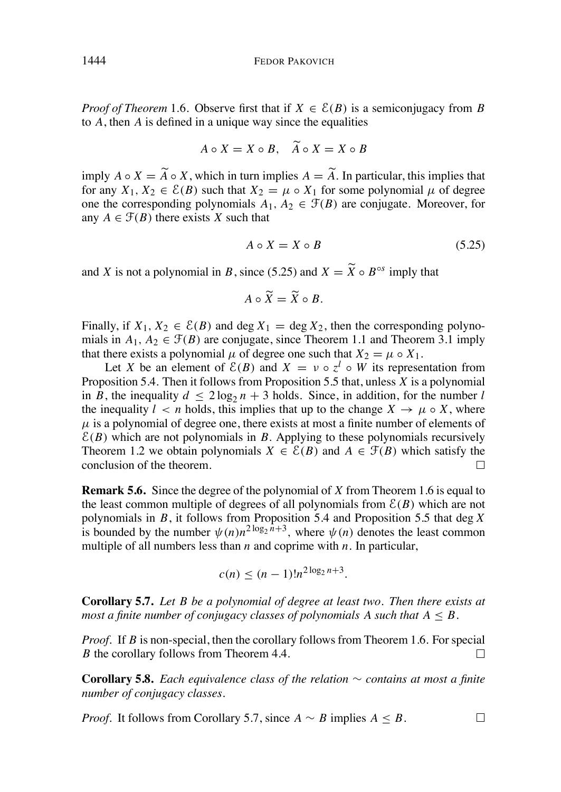*Proof of Theorem* 1.6. Observe first that if  $X \in \mathcal{E}(B)$  is a semiconjugacy from B to *A*, then *A* is defined in a unique way since the equalities

$$
A \circ X = X \circ B, \quad \widetilde{A} \circ X = X \circ B
$$

imply  $A \circ X = A \circ X$ , which in turn implies  $A = A$ . In particular, this implies that for any  $X_1, X_2 \in \mathcal{E}(B)$  such that  $X_2 = \mu \circ X_1$  for some polynomial  $\mu$  of degree one the corresponding polynomials  $A_1, A_2 \in \mathcal{F}(B)$  are conjugate. Moreover, for any  $A \in \mathcal{F}(B)$  there exists *X* such that

$$
A \circ X = X \circ B \tag{5.25}
$$

and *X* is not a polynomial in *B*, since (5.25) and  $X = \widetilde{X} \circ B^{\circ s}$  imply that

$$
A\circ\widetilde{X}=\widetilde{X}\circ B.
$$

 $\mathbb{R}^2$ 

Finally, if  $X_1, X_2 \in \mathcal{E}(B)$  and deg  $X_1 = \text{deg } X_2$ , then the corresponding polynomials in  $A_1, A_2 \in \mathcal{F}(B)$  are conjugate, since Theorem 1.1 and Theorem 3.1 imply that there exists a polynomial  $\mu$  of degree one such that  $X_2 = \mu \circ X_1$ .

Let *X* be an element of  $\mathcal{E}(B)$  and  $X = v \circ z^l \circ W$  its representation from Proposition 5.4. Then it follows from Proposition 5.5 that, unless *X* is a polynomial in *B*, the inequality  $d \leq 2 \log_2 n + 3$  holds. Since, in addition, for the number *l* the inequality  $l < n$  holds, this implies that up to the change  $X \to \mu \circ X$ , where  $\mu$  is a polynomial of degree one, there exists at most a finite number of elements of  $E(B)$  which are not polynomials in *B*. Applying to these polynomials recursively Theorem 1.2 we obtain polynomials  $X \in \mathcal{E}(B)$  and  $A \in \mathcal{F}(B)$  which satisfy the conclusion of the theorem. conclusion of the theorem.

**Remark 5.6.** Since the degree of the polynomial of *X* from Theorem 1.6 is equal to the least common multiple of degrees of all polynomials from  $E(B)$  which are not polynomials in *B*, it follows from Proposition 5.4 and Proposition 5.5 that deg *X* is bounded by the number  $\psi(n)n^{2\log_2 n + 3}$ , where  $\psi(n)$  denotes the least common multiple of all numbers less than *n* and coprime with *n*. In particular,

$$
c(n) \le (n-1)! n^{2\log_2 n + 3}.
$$

**Corollary 5.7.** *Let B be a polynomial of degree at least two. Then there exists at most a finite number of conjugacy classes of polynomials A such that*  $A \leq B$ .

*Proof.* If *B* is non-special, then the corollary follows from Theorem 1.6. For special *B* the corollary follows from Theorem 4.4.  $\Box$ 

**Corollary 5.8.** *Each equivalence class of the relation*  $\sim$  *contains at most a finite number of conjugacy classes.*

*Proof.* It follows from Corollary 5.7, since  $A \sim B$  implies  $A \leq B$ .  $\Box$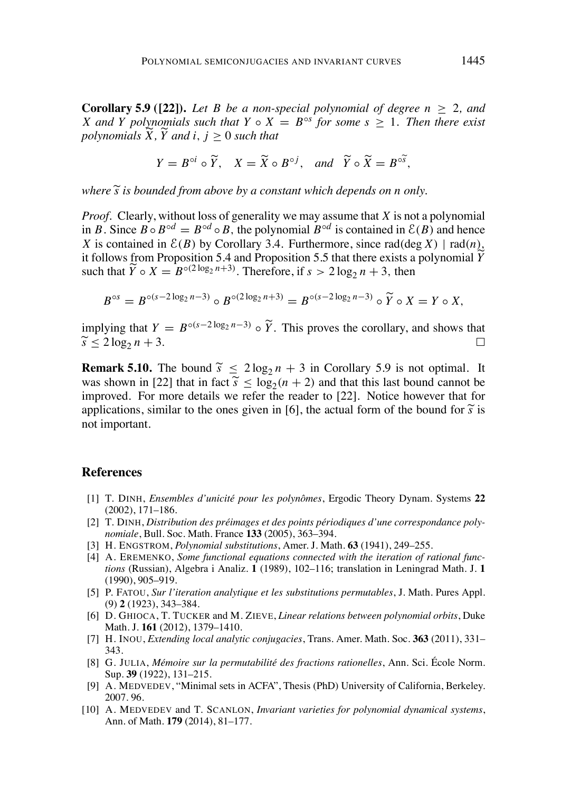**Corollary 5.9** ([22]). Let B be a non-special polynomial of degree  $n > 2$ , and *X* and *Y* polynomials such that  $Y \circ X = B^{\circ s}$  for some  $s > 1$ . Then there exist *polynomials*  $X$ *,*  $Y$  *and*  $i$ *,*  $j \geq 0$  *such that* 

$$
Y = B^{\circ i} \circ \widetilde{Y}, \quad X = \widetilde{X} \circ B^{\circ j}, \quad \text{and} \quad \widetilde{Y} \circ \widetilde{X} = B^{\circ \widetilde{S}},
$$

*where*  $\tilde{s}$  *is bounded from above by a constant which depends on n only.* 

*Proof.* Clearly, without loss of generality we may assume that *X* is not a polynomial in *B*. Since  $B \circ B \circ d = B \circ d \circ B$ , the polynomial  $B \circ d$  is contained in  $\mathcal{E}(B)$  and hence *X* is contained in  $\mathcal{E}(B)$  by Corollary 3.4. Furthermore, since rad(deg *X*) | rad(*n*), it follows from Proposition 5.4 and Proposition 5.5 that there exists a polynomial *Y* such that  $\widetilde{Y} \circ X = B^{\circ (2 \log_2 n + 3)}$ . Therefore, if  $s > 2 \log_2 n + 3$ , then

$$
B^{\circ s} = B^{\circ (s-2\log_2 n - 3)} \circ B^{\circ (2\log_2 n + 3)} = B^{\circ (s-2\log_2 n - 3)} \circ \widetilde{Y} \circ X = Y \circ X,
$$

implying that  $Y = B^{\circ(s-2\log_2 n - 3)} \circ \widetilde{Y}$ . This proves the corollary, and shows that  $\widetilde{s}$  < 2 log<sub>2</sub>  $n + 3$ .

**Remark 5.10.** The bound  $\widetilde{s} \leq 2 \log_2 n + 3$  in Corollary 5.9 is not optimal. It was shown in [22] that in fact  $\tilde{s} < log_2(n + 2)$  and that this last bound cannot be improved. For more details we refer the reader to [22]. Notice however that for applications, similar to the ones given in [6], the actual form of the bound for  $\tilde{s}$  is not important.

### **References**

- [1] T. DINH, *Ensembles d'unicite´ pour les polynoˆmes*, Ergodic Theory Dynam. Systems **22** (2002), 171–186.
- [2] T. DINH, *Distribution des pre´images et des points pe´riodiques d'une correspondance polynomiale*, Bull. Soc. Math. France **133** (2005), 363–394.
- [3] H. ENGSTROM, *Polynomial substitutions*, Amer. J. Math. **63** (1941), 249–255.
- [4] A. EREMENKO, *Some functional equations connected with the iteration of rational functions* (Russian), Algebra i Analiz. **1** (1989), 102–116; translation in Leningrad Math. J. **1** (1990), 905–919.
- [5] P. FATOU, *Sur l'iteration analytique et les substitutions permutables*, J. Math. Pures Appl. (9) **2** (1923), 343–384.
- [6] D. GHIOCA, T. TUCKER and M. ZIEVE, *Linear relations between polynomial orbits*, Duke Math. J. **161** (2012), 1379–1410.
- [7] H. INOU, *Extending local analytic conjugacies*, Trans. Amer. Math. Soc. **363** (2011), 331– 343.
- [8] G. JULIA, Mémoire sur la permutabilité des fractions rationelles, Ann. Sci. École Norm. Sup. **39** (1922), 131–215.
- [9] A. MEDVEDEV, "Minimal sets in ACFA", Thesis (PhD) University of California, Berkeley. 2007. 96.
- [10] A. MEDVEDEV and T. SCANLON, *Invariant varieties for polynomial dynamical systems*, Ann. of Math. **179** (2014), 81–177.